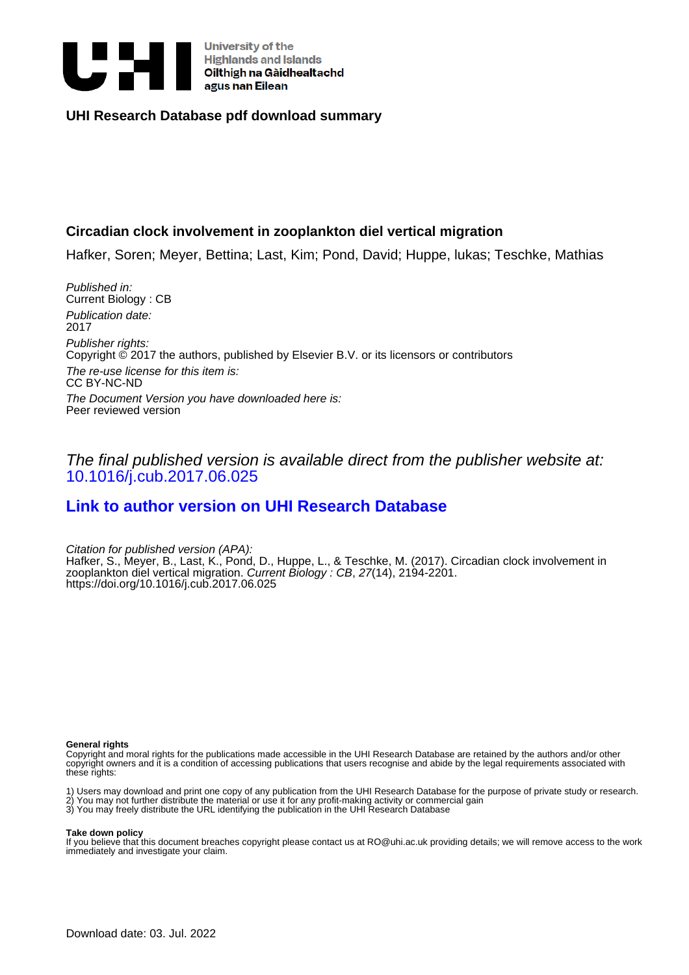

# **UHI Research Database pdf download summary**

# **Circadian clock involvement in zooplankton diel vertical migration**

Hafker, Soren; Meyer, Bettina; Last, Kim; Pond, David; Huppe, lukas; Teschke, Mathias

Published in: Current Biology : CB Publication date: 2017 Publisher rights: Copyright © 2017 the authors, published by Elsevier B.V. or its licensors or contributors The re-use license for this item is: CC BY-NC-ND The Document Version you have downloaded here is: Peer reviewed version

# The final published version is available direct from the publisher website at: [10.1016/j.cub.2017.06.025](https://doi.org/10.1016/j.cub.2017.06.025)

# **[Link to author version on UHI Research Database](https://pure.uhi.ac.uk/en/publications/ff04ecbf-d80f-486f-a8bf-43de204ad3e5)**

Citation for published version (APA): Hafker, S., Meyer, B., Last, K., Pond, D., Huppe, L., & Teschke, M. (2017). Circadian clock involvement in zooplankton diel vertical migration. Current Biology : CB, 27(14), 2194-2201. <https://doi.org/10.1016/j.cub.2017.06.025>

#### **General rights**

Copyright and moral rights for the publications made accessible in the UHI Research Database are retained by the authors and/or other copyright owners and it is a condition of accessing publications that users recognise and abide by the legal requirements associated with these rights:

1) Users may download and print one copy of any publication from the UHI Research Database for the purpose of private study or research. 2) You may not further distribute the material or use it for any profit-making activity or commercial gain

#### 3) You may freely distribute the URL identifying the publication in the UHI Research Database

#### **Take down policy**

If you believe that this document breaches copyright please contact us at RO@uhi.ac.uk providing details; we will remove access to the work immediately and investigate your claim.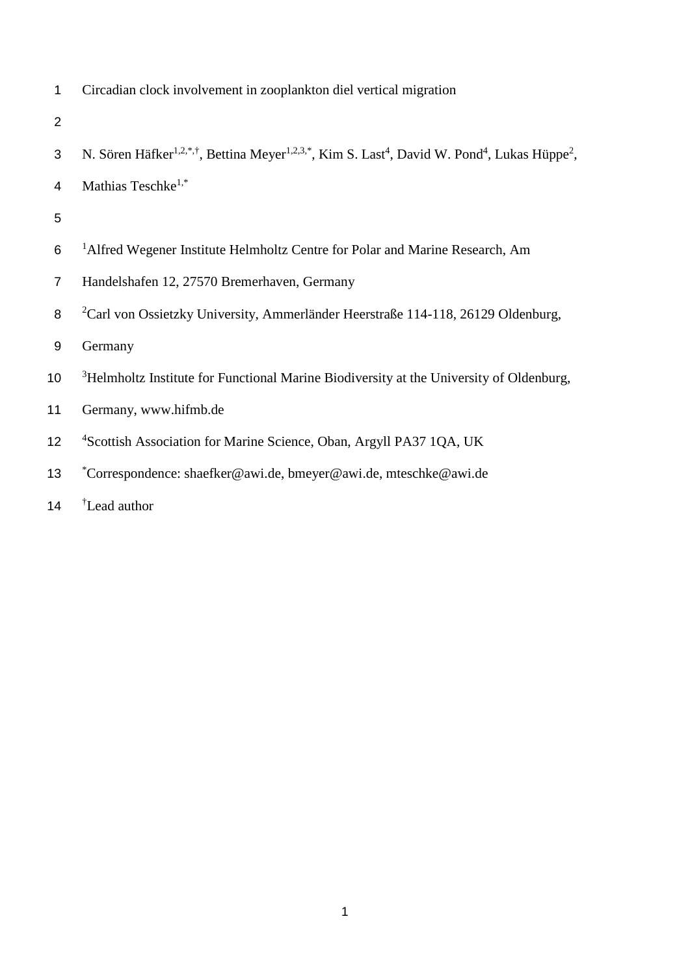1 Circadian clock involvement in zooplankton diel vertical migration

- 3 N. Sören Häfker<sup>1,2,\*,†</sup>, Bettina Meyer<sup>1,2,3,\*</sup>, Kim S. Last<sup>4</sup>, David W. Pond<sup>4</sup>, Lukas Hüppe<sup>2</sup>,
- 4 Mathias Teschke<sup>1,\*</sup>
- 5
- <sup>1</sup> 6 Alfred Wegener Institute Helmholtz Centre for Polar and Marine Research, Am
- 7 Handelshafen 12, 27570 Bremerhaven, Germany
- 8 <sup>2</sup> Carl von Ossietzky University, Ammerländer Heerstraße 114-118, 26129 Oldenburg,
- 9 Germany
- <sup>3</sup> Helmholtz Institute for Functional Marine Biodiversity at the University of Oldenburg,
- 11 Germany, www.hifmb.de
- <sup>4</sup> 12 <sup>4</sup> Scottish Association for Marine Science, Oban, Argyll PA37 1QA, UK
- \* 13 Correspondence: shaefker@awi.de, bmeyer@awi.de, mteschke@awi.de
- 14 <sup>†</sup> Lead author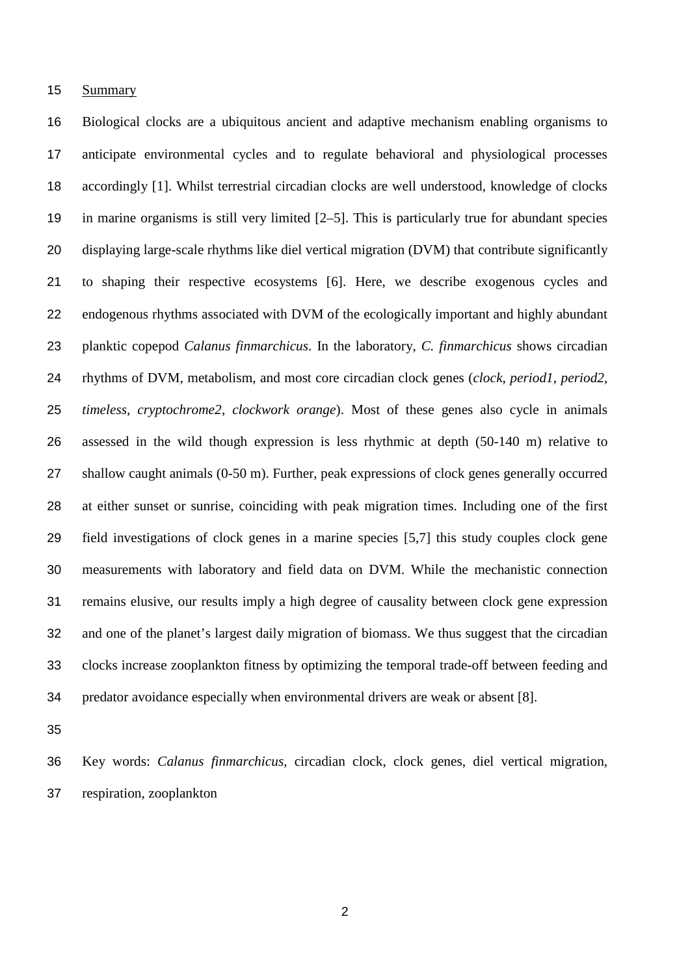### Summary

 Biological clocks are a ubiquitous ancient and adaptive mechanism enabling organisms to anticipate environmental cycles and to regulate behavioral and physiological processes accordingly [1]. Whilst terrestrial circadian clocks are well understood, knowledge of clocks in marine organisms is still very limited [2–5]. This is particularly true for abundant species displaying large-scale rhythms like diel vertical migration (DVM) that contribute significantly to shaping their respective ecosystems [6]. Here, we describe exogenous cycles and endogenous rhythms associated with DVM of the ecologically important and highly abundant planktic copepod *Calanus finmarchicus*. In the laboratory, *C. finmarchicus* shows circadian rhythms of DVM, metabolism, and most core circadian clock genes (*clock*, *period1*, *period2*, *timeless*, *cryptochrome2*, *clockwork orange*). Most of these genes also cycle in animals assessed in the wild though expression is less rhythmic at depth (50-140 m) relative to shallow caught animals (0-50 m). Further, peak expressions of clock genes generally occurred at either sunset or sunrise, coinciding with peak migration times. Including one of the first field investigations of clock genes in a marine species [5,7] this study couples clock gene measurements with laboratory and field data on DVM. While the mechanistic connection remains elusive, our results imply a high degree of causality between clock gene expression and one of the planet's largest daily migration of biomass. We thus suggest that the circadian clocks increase zooplankton fitness by optimizing the temporal trade-off between feeding and predator avoidance especially when environmental drivers are weak or absent [8].

 Key words: *Calanus finmarchicus*, circadian clock, clock genes, diel vertical migration, respiration, zooplankton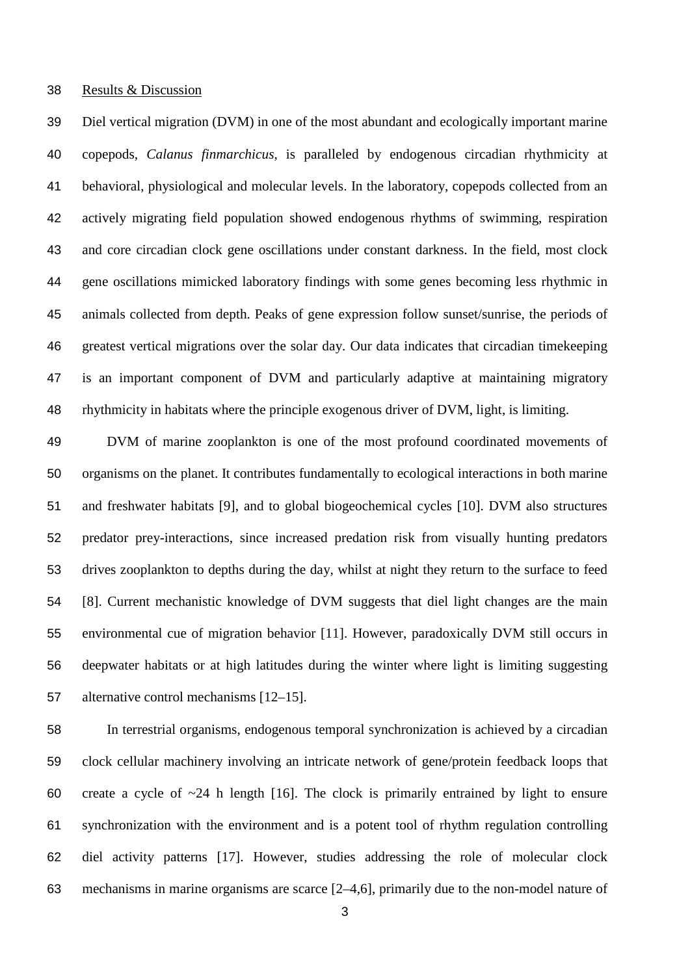#### Results & Discussion

 Diel vertical migration (DVM) in one of the most abundant and ecologically important marine copepods, *Calanus finmarchicus*, is paralleled by endogenous circadian rhythmicity at behavioral, physiological and molecular levels. In the laboratory, copepods collected from an actively migrating field population showed endogenous rhythms of swimming, respiration and core circadian clock gene oscillations under constant darkness. In the field, most clock gene oscillations mimicked laboratory findings with some genes becoming less rhythmic in animals collected from depth. Peaks of gene expression follow sunset/sunrise, the periods of greatest vertical migrations over the solar day. Our data indicates that circadian timekeeping is an important component of DVM and particularly adaptive at maintaining migratory rhythmicity in habitats where the principle exogenous driver of DVM, light, is limiting.

 DVM of marine zooplankton is one of the most profound coordinated movements of organisms on the planet. It contributes fundamentally to ecological interactions in both marine and freshwater habitats [9], and to global biogeochemical cycles [10]. DVM also structures predator prey-interactions, since increased predation risk from visually hunting predators drives zooplankton to depths during the day, whilst at night they return to the surface to feed [8]. Current mechanistic knowledge of DVM suggests that diel light changes are the main environmental cue of migration behavior [11]. However, paradoxically DVM still occurs in deepwater habitats or at high latitudes during the winter where light is limiting suggesting alternative control mechanisms [12–15].

 In terrestrial organisms, endogenous temporal synchronization is achieved by a circadian clock cellular machinery involving an intricate network of gene/protein feedback loops that 60 create a cycle of  $\sim$ 24 h length [16]. The clock is primarily entrained by light to ensure synchronization with the environment and is a potent tool of rhythm regulation controlling diel activity patterns [17]. However, studies addressing the role of molecular clock mechanisms in marine organisms are scarce [2–4,6], primarily due to the non-model nature of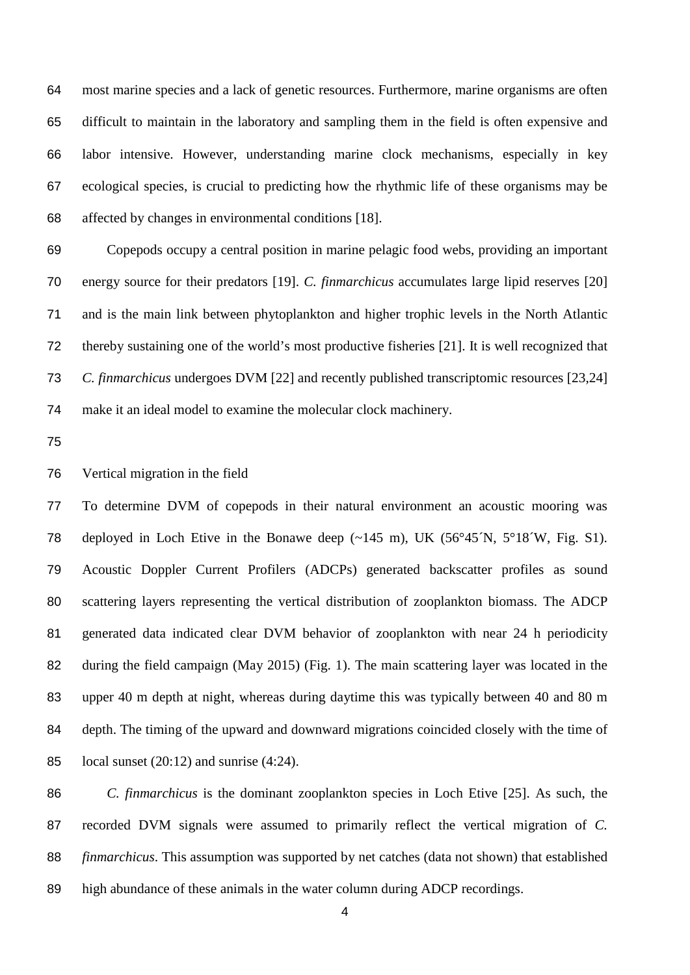most marine species and a lack of genetic resources. Furthermore, marine organisms are often difficult to maintain in the laboratory and sampling them in the field is often expensive and labor intensive. However, understanding marine clock mechanisms, especially in key ecological species, is crucial to predicting how the rhythmic life of these organisms may be affected by changes in environmental conditions [18].

 Copepods occupy a central position in marine pelagic food webs, providing an important energy source for their predators [19]. *C. finmarchicus* accumulates large lipid reserves [20] and is the main link between phytoplankton and higher trophic levels in the North Atlantic thereby sustaining one of the world's most productive fisheries [21]. It is well recognized that *C. finmarchicus* undergoes DVM [22] and recently published transcriptomic resources [23,24] make it an ideal model to examine the molecular clock machinery.

Vertical migration in the field

 To determine DVM of copepods in their natural environment an acoustic mooring was 78 deployed in Loch Etive in the Bonawe deep (~145 m), UK (56°45´N, 5°18´W, Fig. S1). Acoustic Doppler Current Profilers (ADCPs) generated backscatter profiles as sound scattering layers representing the vertical distribution of zooplankton biomass. The ADCP generated data indicated clear DVM behavior of zooplankton with near 24 h periodicity during the field campaign (May 2015) (Fig. 1). The main scattering layer was located in the upper 40 m depth at night, whereas during daytime this was typically between 40 and 80 m depth. The timing of the upward and downward migrations coincided closely with the time of 85 local sunset  $(20:12)$  and sunrise  $(4:24)$ .

 *C. finmarchicus* is the dominant zooplankton species in Loch Etive [25]. As such, the recorded DVM signals were assumed to primarily reflect the vertical migration of *C. finmarchicus*. This assumption was supported by net catches (data not shown) that established high abundance of these animals in the water column during ADCP recordings.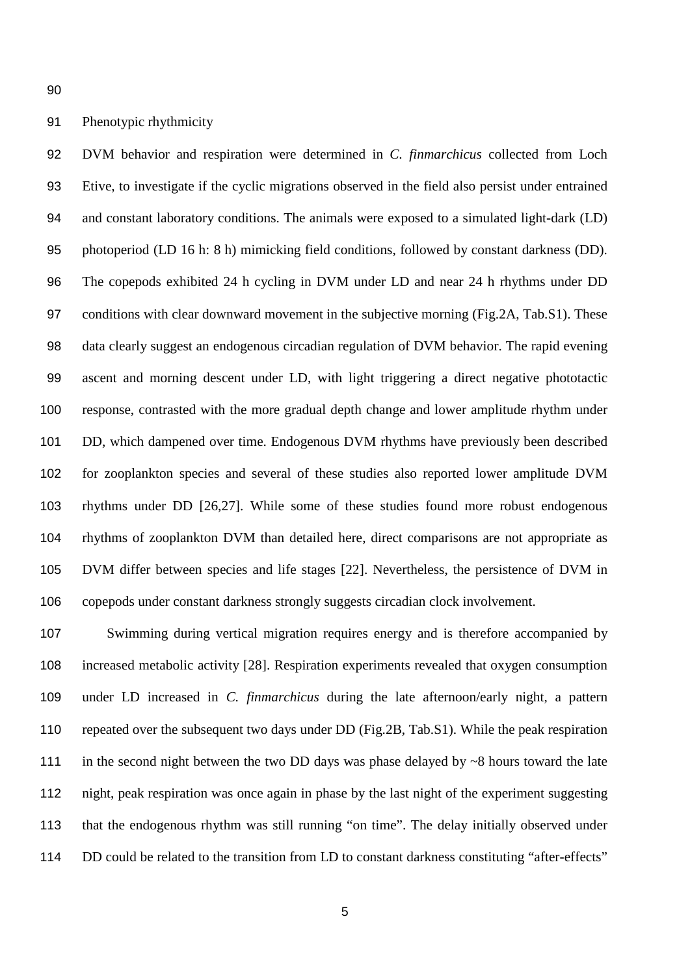DVM behavior and respiration were determined in *C. finmarchicus* collected from Loch Etive, to investigate if the cyclic migrations observed in the field also persist under entrained and constant laboratory conditions. The animals were exposed to a simulated light-dark (LD) photoperiod (LD 16 h: 8 h) mimicking field conditions, followed by constant darkness (DD). The copepods exhibited 24 h cycling in DVM under LD and near 24 h rhythms under DD conditions with clear downward movement in the subjective morning (Fig.2A, Tab.S1). These data clearly suggest an endogenous circadian regulation of DVM behavior. The rapid evening ascent and morning descent under LD, with light triggering a direct negative phototactic response, contrasted with the more gradual depth change and lower amplitude rhythm under DD, which dampened over time. Endogenous DVM rhythms have previously been described for zooplankton species and several of these studies also reported lower amplitude DVM rhythms under DD [26,27]. While some of these studies found more robust endogenous rhythms of zooplankton DVM than detailed here, direct comparisons are not appropriate as DVM differ between species and life stages [22]. Nevertheless, the persistence of DVM in copepods under constant darkness strongly suggests circadian clock involvement.

 Swimming during vertical migration requires energy and is therefore accompanied by increased metabolic activity [28]. Respiration experiments revealed that oxygen consumption under LD increased in *C. finmarchicus* during the late afternoon/early night, a pattern repeated over the subsequent two days under DD (Fig.2B, Tab.S1). While the peak respiration 111 in the second night between the two DD days was phase delayed by ~8 hours toward the late night, peak respiration was once again in phase by the last night of the experiment suggesting that the endogenous rhythm was still running "on time". The delay initially observed under DD could be related to the transition from LD to constant darkness constituting "after-effects"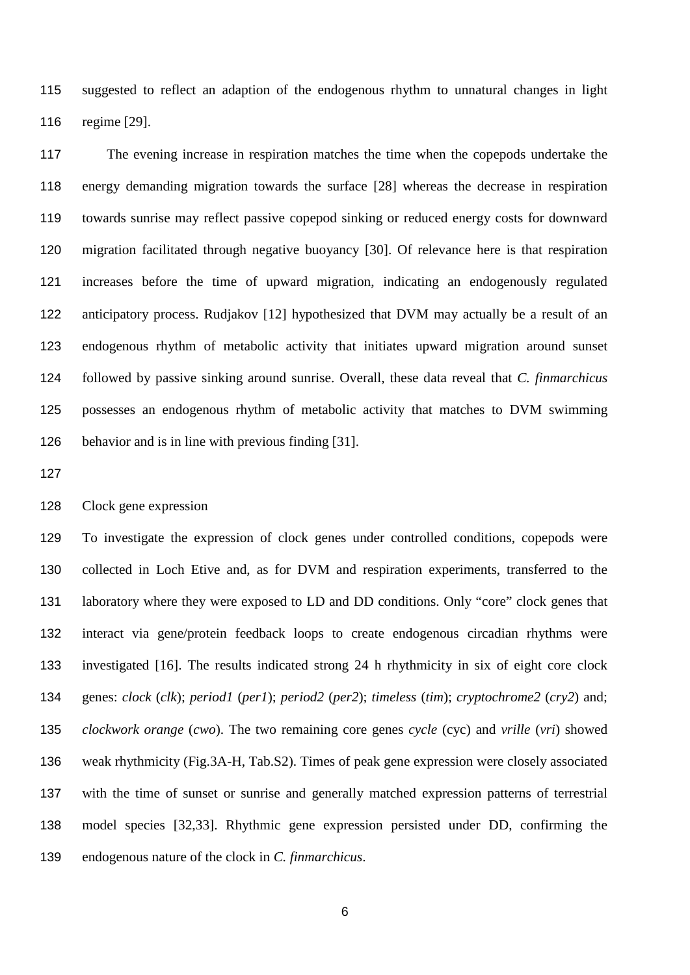suggested to reflect an adaption of the endogenous rhythm to unnatural changes in light regime [29].

 The evening increase in respiration matches the time when the copepods undertake the energy demanding migration towards the surface [28] whereas the decrease in respiration towards sunrise may reflect passive copepod sinking or reduced energy costs for downward migration facilitated through negative buoyancy [30]. Of relevance here is that respiration increases before the time of upward migration, indicating an endogenously regulated anticipatory process. Rudjakov [12] hypothesized that DVM may actually be a result of an endogenous rhythm of metabolic activity that initiates upward migration around sunset followed by passive sinking around sunrise. Overall, these data reveal that *C. finmarchicus* possesses an endogenous rhythm of metabolic activity that matches to DVM swimming behavior and is in line with previous finding [31].

## Clock gene expression

 To investigate the expression of clock genes under controlled conditions, copepods were collected in Loch Etive and, as for DVM and respiration experiments, transferred to the 131 laboratory where they were exposed to LD and DD conditions. Only "core" clock genes that interact via gene/protein feedback loops to create endogenous circadian rhythms were investigated [16]. The results indicated strong 24 h rhythmicity in six of eight core clock genes: *clock* (*clk*); *period1* (*per1*); *period2* (*per2*); *timeless* (*tim*); *cryptochrome2* (*cry2*) and; *clockwork orange* (*cwo*). The two remaining core genes *cycle* (cyc) and *vrille* (*vri*) showed weak rhythmicity (Fig.3A-H, Tab.S2). Times of peak gene expression were closely associated with the time of sunset or sunrise and generally matched expression patterns of terrestrial model species [32,33]. Rhythmic gene expression persisted under DD, confirming the endogenous nature of the clock in *C. finmarchicus*.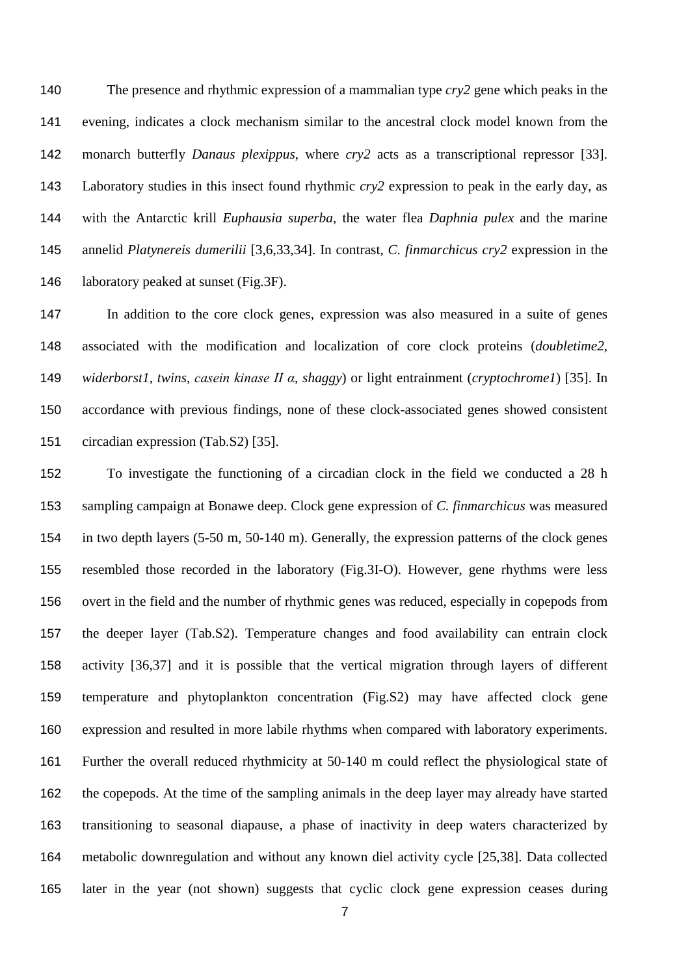The presence and rhythmic expression of a mammalian type *cry2* gene which peaks in the evening, indicates a clock mechanism similar to the ancestral clock model known from the monarch butterfly *Danaus plexippus*, where *cry2* acts as a transcriptional repressor [33]. Laboratory studies in this insect found rhythmic *cry2* expression to peak in the early day, as with the Antarctic krill *Euphausia superba*, the water flea *Daphnia pulex* and the marine annelid *Platynereis dumerilii* [3,6,33,34]. In contrast, *C. finmarchicus cry2* expression in the 146 laboratory peaked at sunset (Fig.3F).

 In addition to the core clock genes, expression was also measured in a suite of genes associated with the modification and localization of core clock proteins (*doubletime2*, *widerborst1*, *twins*, *casein kinase II α*, *shaggy*) or light entrainment (*cryptochrome1*) [35]. In accordance with previous findings, none of these clock-associated genes showed consistent circadian expression (Tab.S2) [35].

 To investigate the functioning of a circadian clock in the field we conducted a 28 h sampling campaign at Bonawe deep. Clock gene expression of *C. finmarchicus* was measured in two depth layers (5-50 m, 50-140 m). Generally, the expression patterns of the clock genes resembled those recorded in the laboratory (Fig.3I-O). However, gene rhythms were less overt in the field and the number of rhythmic genes was reduced, especially in copepods from the deeper layer (Tab.S2). Temperature changes and food availability can entrain clock activity [36,37] and it is possible that the vertical migration through layers of different temperature and phytoplankton concentration (Fig.S2) may have affected clock gene expression and resulted in more labile rhythms when compared with laboratory experiments. Further the overall reduced rhythmicity at 50-140 m could reflect the physiological state of the copepods. At the time of the sampling animals in the deep layer may already have started transitioning to seasonal diapause, a phase of inactivity in deep waters characterized by metabolic downregulation and without any known diel activity cycle [25,38]. Data collected later in the year (not shown) suggests that cyclic clock gene expression ceases during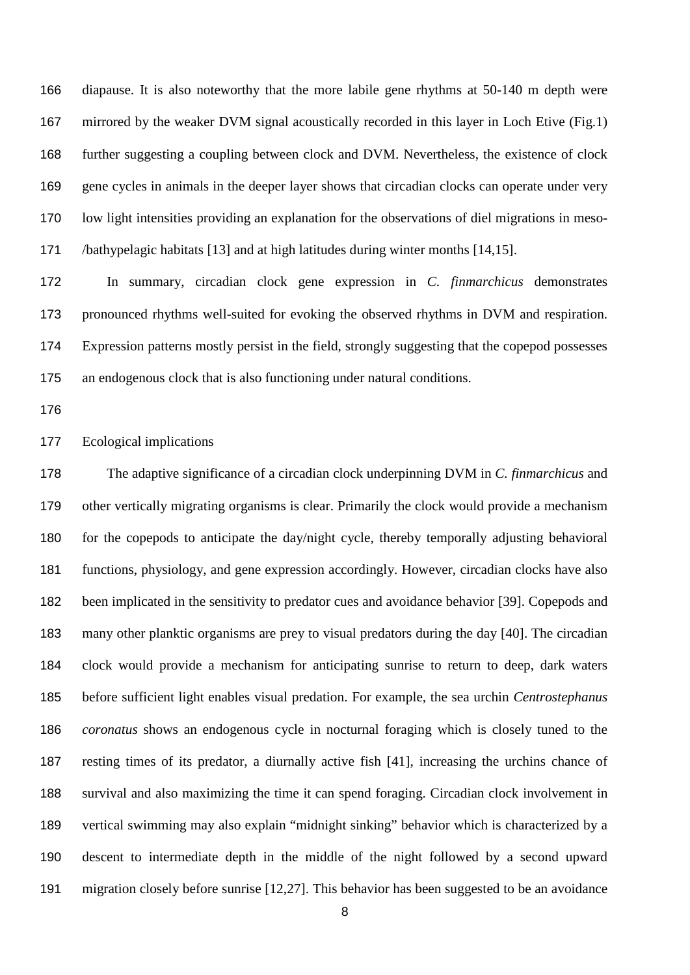diapause. It is also noteworthy that the more labile gene rhythms at 50-140 m depth were mirrored by the weaker DVM signal acoustically recorded in this layer in Loch Etive (Fig.1) further suggesting a coupling between clock and DVM. Nevertheless, the existence of clock gene cycles in animals in the deeper layer shows that circadian clocks can operate under very low light intensities providing an explanation for the observations of diel migrations in meso-/bathypelagic habitats [13] and at high latitudes during winter months [14,15].

 In summary, circadian clock gene expression in *C. finmarchicus* demonstrates pronounced rhythms well-suited for evoking the observed rhythms in DVM and respiration. Expression patterns mostly persist in the field, strongly suggesting that the copepod possesses an endogenous clock that is also functioning under natural conditions.

#### Ecological implications

 The adaptive significance of a circadian clock underpinning DVM in *C. finmarchicus* and other vertically migrating organisms is clear. Primarily the clock would provide a mechanism for the copepods to anticipate the day/night cycle, thereby temporally adjusting behavioral functions, physiology, and gene expression accordingly. However, circadian clocks have also been implicated in the sensitivity to predator cues and avoidance behavior [39]. Copepods and many other planktic organisms are prey to visual predators during the day [40]. The circadian clock would provide a mechanism for anticipating sunrise to return to deep, dark waters before sufficient light enables visual predation. For example, the sea urchin *Centrostephanus coronatus* shows an endogenous cycle in nocturnal foraging which is closely tuned to the resting times of its predator, a diurnally active fish [41], increasing the urchins chance of survival and also maximizing the time it can spend foraging. Circadian clock involvement in vertical swimming may also explain "midnight sinking" behavior which is characterized by a descent to intermediate depth in the middle of the night followed by a second upward migration closely before sunrise [12,27]. This behavior has been suggested to be an avoidance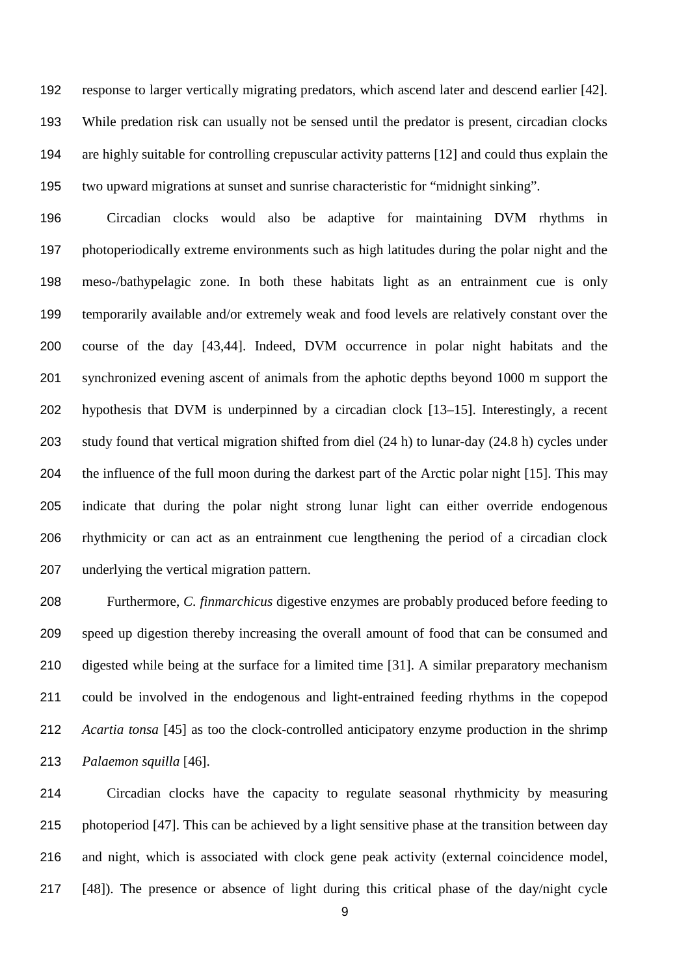response to larger vertically migrating predators, which ascend later and descend earlier [42]. While predation risk can usually not be sensed until the predator is present, circadian clocks are highly suitable for controlling crepuscular activity patterns [12] and could thus explain the two upward migrations at sunset and sunrise characteristic for "midnight sinking".

 Circadian clocks would also be adaptive for maintaining DVM rhythms in photoperiodically extreme environments such as high latitudes during the polar night and the meso-/bathypelagic zone. In both these habitats light as an entrainment cue is only temporarily available and/or extremely weak and food levels are relatively constant over the course of the day [43,44]. Indeed, DVM occurrence in polar night habitats and the synchronized evening ascent of animals from the aphotic depths beyond 1000 m support the hypothesis that DVM is underpinned by a circadian clock [13–15]. Interestingly, a recent study found that vertical migration shifted from diel (24 h) to lunar-day (24.8 h) cycles under the influence of the full moon during the darkest part of the Arctic polar night [15]. This may indicate that during the polar night strong lunar light can either override endogenous rhythmicity or can act as an entrainment cue lengthening the period of a circadian clock underlying the vertical migration pattern.

 Furthermore, *C. finmarchicus* digestive enzymes are probably produced before feeding to speed up digestion thereby increasing the overall amount of food that can be consumed and digested while being at the surface for a limited time [31]. A similar preparatory mechanism could be involved in the endogenous and light-entrained feeding rhythms in the copepod *Acartia tonsa* [45] as too the clock-controlled anticipatory enzyme production in the shrimp *Palaemon squilla* [46].

 Circadian clocks have the capacity to regulate seasonal rhythmicity by measuring photoperiod [47]. This can be achieved by a light sensitive phase at the transition between day and night, which is associated with clock gene peak activity (external coincidence model, [48]). The presence or absence of light during this critical phase of the day/night cycle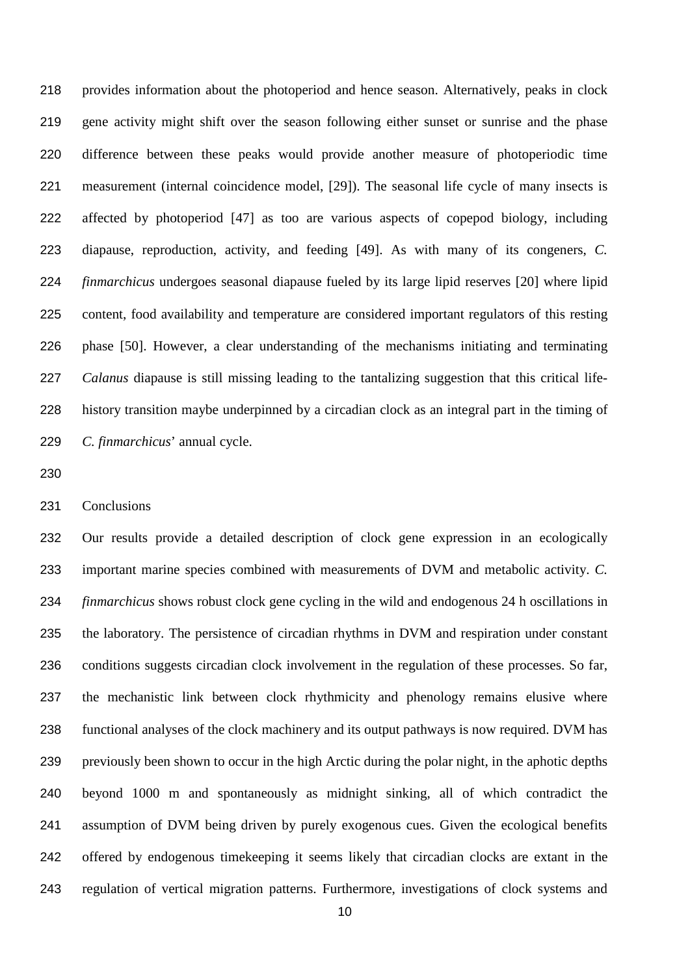provides information about the photoperiod and hence season. Alternatively, peaks in clock gene activity might shift over the season following either sunset or sunrise and the phase difference between these peaks would provide another measure of photoperiodic time measurement (internal coincidence model, [29]). The seasonal life cycle of many insects is affected by photoperiod [47] as too are various aspects of copepod biology, including diapause, reproduction, activity, and feeding [49]. As with many of its congeners, *C. finmarchicus* undergoes seasonal diapause fueled by its large lipid reserves [20] where lipid content, food availability and temperature are considered important regulators of this resting phase [50]. However, a clear understanding of the mechanisms initiating and terminating *Calanus* diapause is still missing leading to the tantalizing suggestion that this critical life- history transition maybe underpinned by a circadian clock as an integral part in the timing of *C. finmarchicus*' annual cycle.

Conclusions

 Our results provide a detailed description of clock gene expression in an ecologically important marine species combined with measurements of DVM and metabolic activity. *C. finmarchicus* shows robust clock gene cycling in the wild and endogenous 24 h oscillations in the laboratory. The persistence of circadian rhythms in DVM and respiration under constant conditions suggests circadian clock involvement in the regulation of these processes. So far, the mechanistic link between clock rhythmicity and phenology remains elusive where functional analyses of the clock machinery and its output pathways is now required. DVM has previously been shown to occur in the high Arctic during the polar night, in the aphotic depths beyond 1000 m and spontaneously as midnight sinking, all of which contradict the assumption of DVM being driven by purely exogenous cues. Given the ecological benefits offered by endogenous timekeeping it seems likely that circadian clocks are extant in the regulation of vertical migration patterns. Furthermore, investigations of clock systems and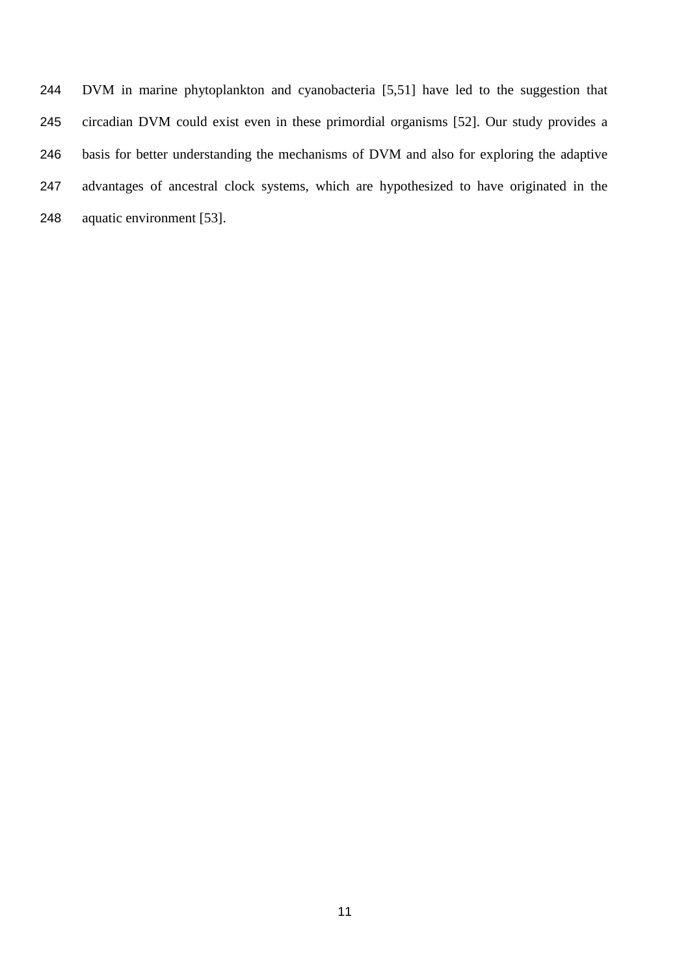DVM in marine phytoplankton and cyanobacteria [5,51] have led to the suggestion that circadian DVM could exist even in these primordial organisms [52]. Our study provides a basis for better understanding the mechanisms of DVM and also for exploring the adaptive advantages of ancestral clock systems, which are hypothesized to have originated in the aquatic environment [53].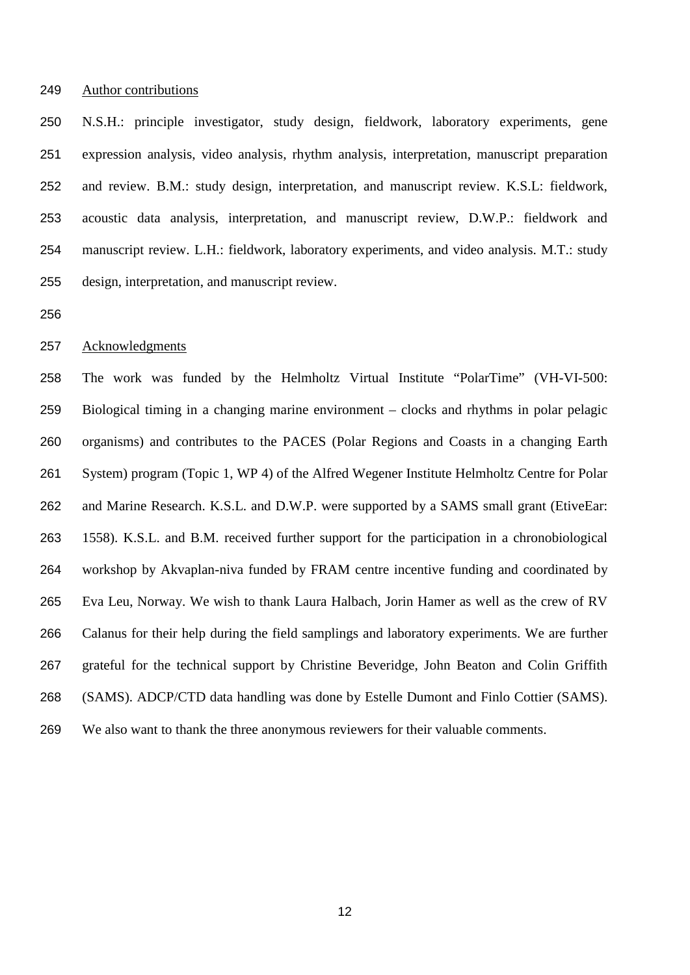#### Author contributions

 N.S.H.: principle investigator, study design, fieldwork, laboratory experiments, gene expression analysis, video analysis, rhythm analysis, interpretation, manuscript preparation and review. B.M.: study design, interpretation, and manuscript review. K.S.L: fieldwork, acoustic data analysis, interpretation, and manuscript review, D.W.P.: fieldwork and manuscript review. L.H.: fieldwork, laboratory experiments, and video analysis. M.T.: study design, interpretation, and manuscript review.

#### Acknowledgments

 The work was funded by the Helmholtz Virtual Institute "PolarTime" (VH-VI-500: Biological timing in a changing marine environment – clocks and rhythms in polar pelagic organisms) and contributes to the PACES (Polar Regions and Coasts in a changing Earth System) program (Topic 1, WP 4) of the Alfred Wegener Institute Helmholtz Centre for Polar and Marine Research. K.S.L. and D.W.P. were supported by a SAMS small grant (EtiveEar: 1558). K.S.L. and B.M. received further support for the participation in a chronobiological workshop by Akvaplan-niva funded by FRAM centre incentive funding and coordinated by Eva Leu, Norway. We wish to thank Laura Halbach, Jorin Hamer as well as the crew of RV Calanus for their help during the field samplings and laboratory experiments. We are further grateful for the technical support by Christine Beveridge, John Beaton and Colin Griffith (SAMS). ADCP/CTD data handling was done by Estelle Dumont and Finlo Cottier (SAMS). We also want to thank the three anonymous reviewers for their valuable comments.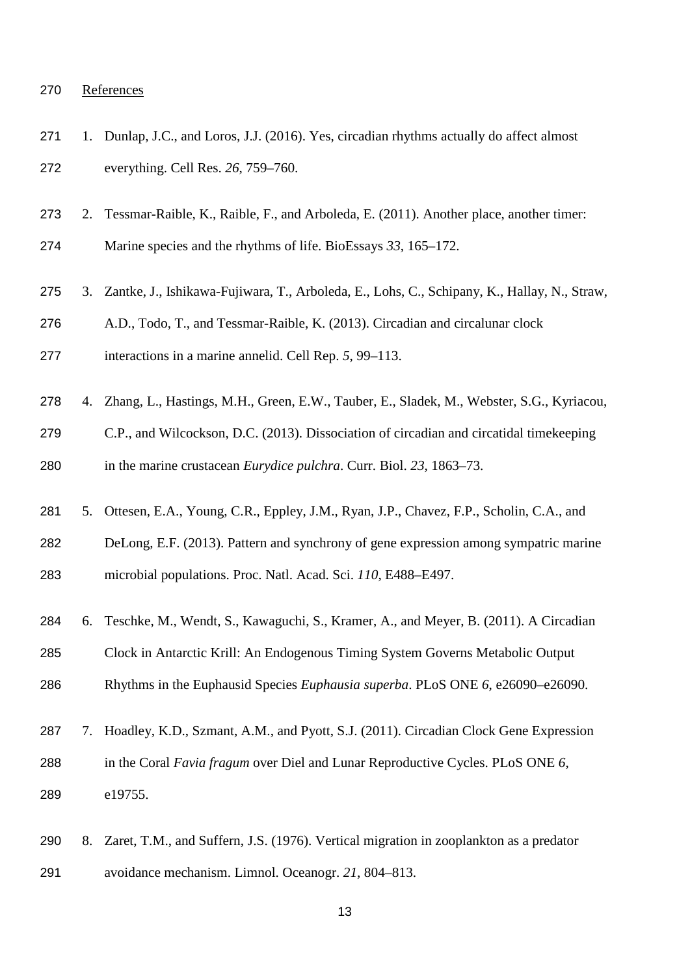# References

| 271 | 1. | Dunlap, J.C., and Loros, J.J. (2016). Yes, circadian rhythms actually do affect almost      |
|-----|----|---------------------------------------------------------------------------------------------|
| 272 |    | everything. Cell Res. 26, 759-760.                                                          |
| 273 | 2. | Tessmar-Raible, K., Raible, F., and Arboleda, E. (2011). Another place, another timer:      |
| 274 |    | Marine species and the rhythms of life. BioEssays 33, 165–172.                              |
| 275 | 3. | Zantke, J., Ishikawa-Fujiwara, T., Arboleda, E., Lohs, C., Schipany, K., Hallay, N., Straw, |
| 276 |    | A.D., Todo, T., and Tessmar-Raible, K. (2013). Circadian and circalunar clock               |
| 277 |    | interactions in a marine annelid. Cell Rep. 5, 99–113.                                      |
| 278 | 4. | Zhang, L., Hastings, M.H., Green, E.W., Tauber, E., Sladek, M., Webster, S.G., Kyriacou,    |
| 279 |    | C.P., and Wilcockson, D.C. (2013). Dissociation of circadian and circatidal timekeeping     |
| 280 |    | in the marine crustacean <i>Eurydice pulchra</i> . Curr. Biol. 23, 1863–73.                 |
| 281 | 5. | Ottesen, E.A., Young, C.R., Eppley, J.M., Ryan, J.P., Chavez, F.P., Scholin, C.A., and      |
| 282 |    | DeLong, E.F. (2013). Pattern and synchrony of gene expression among sympatric marine        |
| 283 |    | microbial populations. Proc. Natl. Acad. Sci. 110, E488–E497.                               |
| 284 | 6. | Teschke, M., Wendt, S., Kawaguchi, S., Kramer, A., and Meyer, B. (2011). A Circadian        |
| 285 |    | Clock in Antarctic Krill: An Endogenous Timing System Governs Metabolic Output              |
| 286 |    | Rhythms in the Euphausid Species Euphausia superba. PLoS ONE 6, e26090-e26090.              |
| 287 | 7. | Hoadley, K.D., Szmant, A.M., and Pyott, S.J. (2011). Circadian Clock Gene Expression        |
| 288 |    | in the Coral Favia fragum over Diel and Lunar Reproductive Cycles. PLoS ONE 6,              |
| 289 |    | e19755.                                                                                     |
|     |    |                                                                                             |

 8. Zaret, T.M., and Suffern, J.S. (1976). Vertical migration in zooplankton as a predator avoidance mechanism. Limnol. Oceanogr. *21*, 804–813.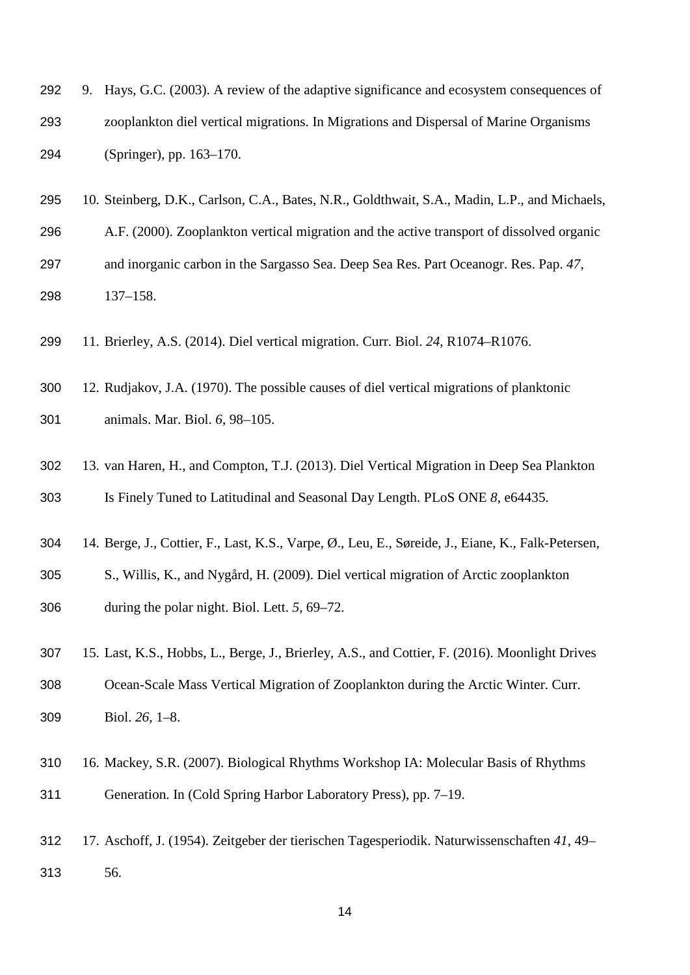- 9. Hays, G.C. (2003). A review of the adaptive significance and ecosystem consequences of zooplankton diel vertical migrations. In Migrations and Dispersal of Marine Organisms (Springer), pp. 163–170.
- 10. Steinberg, D.K., Carlson, C.A., Bates, N.R., Goldthwait, S.A., Madin, L.P., and Michaels,
- A.F. (2000). Zooplankton vertical migration and the active transport of dissolved organic and inorganic carbon in the Sargasso Sea. Deep Sea Res. Part Oceanogr. Res. Pap. *47*, 137–158.
- 11. Brierley, A.S. (2014). Diel vertical migration. Curr. Biol. *24*, R1074–R1076.
- 12. Rudjakov, J.A. (1970). The possible causes of diel vertical migrations of planktonic animals. Mar. Biol. *6*, 98–105.
- 13. van Haren, H., and Compton, T.J. (2013). Diel Vertical Migration in Deep Sea Plankton Is Finely Tuned to Latitudinal and Seasonal Day Length. PLoS ONE *8*, e64435.
- 14. Berge, J., Cottier, F., Last, K.S., Varpe, Ø., Leu, E., Søreide, J., Eiane, K., Falk-Petersen,
- S., Willis, K., and Nygård, H. (2009). Diel vertical migration of Arctic zooplankton during the polar night. Biol. Lett. *5*, 69–72.
- 15. Last, K.S., Hobbs, L., Berge, J., Brierley, A.S., and Cottier, F. (2016). Moonlight Drives Ocean-Scale Mass Vertical Migration of Zooplankton during the Arctic Winter. Curr. Biol. *26*, 1–8.
- 16. Mackey, S.R. (2007). Biological Rhythms Workshop IA: Molecular Basis of Rhythms Generation. In (Cold Spring Harbor Laboratory Press), pp. 7–19.
- 17. Aschoff, J. (1954). Zeitgeber der tierischen Tagesperiodik. Naturwissenschaften *41*, 49– 56.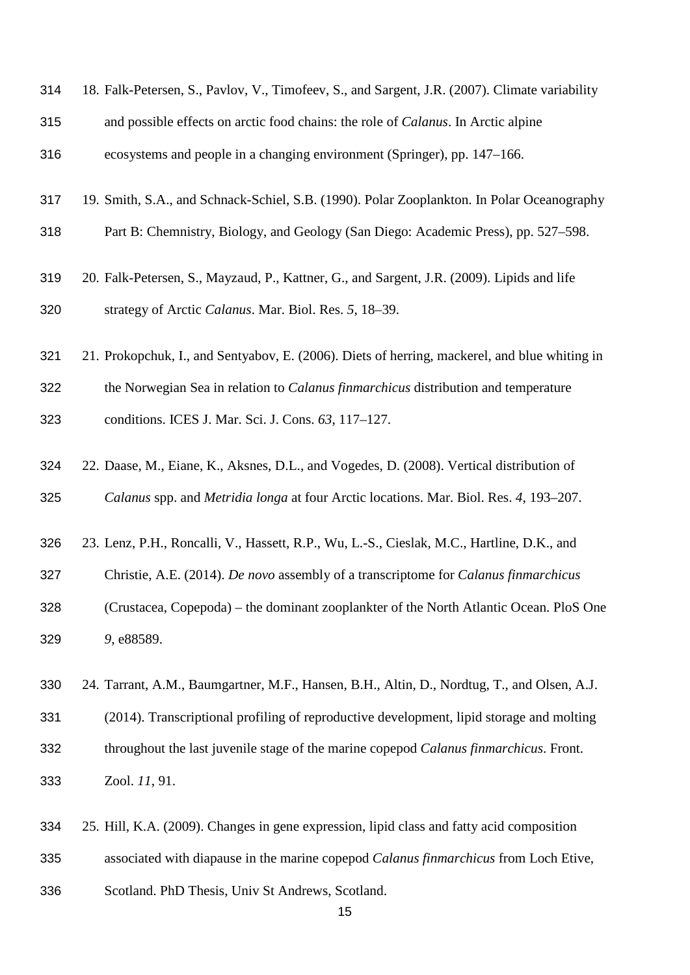| 314 | 18. Falk-Petersen, S., Pavlov, V., Timofeev, S., and Sargent, J.R. (2007). Climate variability |
|-----|------------------------------------------------------------------------------------------------|
| 315 | and possible effects on arctic food chains: the role of <i>Calanus</i> . In Arctic alpine      |
| 316 | ecosystems and people in a changing environment (Springer), pp. 147–166.                       |

- 19. Smith, S.A., and Schnack-Schiel, S.B. (1990). Polar Zooplankton. In Polar Oceanography
- Part B: Chemnistry, Biology, and Geology (San Diego: Academic Press), pp. 527–598.
- 20. Falk-Petersen, S., Mayzaud, P., Kattner, G., and Sargent, J.R. (2009). Lipids and life strategy of Arctic *Calanus*. Mar. Biol. Res. *5*, 18–39.
- 21. Prokopchuk, I., and Sentyabov, E. (2006). Diets of herring, mackerel, and blue whiting in
- the Norwegian Sea in relation to *Calanus finmarchicus* distribution and temperature conditions. ICES J. Mar. Sci. J. Cons. *63*, 117–127.
- 22. Daase, M., Eiane, K., Aksnes, D.L., and Vogedes, D. (2008). Vertical distribution of *Calanus* spp. and *Metridia longa* at four Arctic locations. Mar. Biol. Res. *4*, 193–207.
- 23. Lenz, P.H., Roncalli, V., Hassett, R.P., Wu, L.-S., Cieslak, M.C., Hartline, D.K., and
- Christie, A.E. (2014). *De novo* assembly of a transcriptome for *Calanus finmarchicus*
- (Crustacea, Copepoda) the dominant zooplankter of the North Atlantic Ocean. PloS One *9*, e88589.
- 24. Tarrant, A.M., Baumgartner, M.F., Hansen, B.H., Altin, D., Nordtug, T., and Olsen, A.J.
- (2014). Transcriptional profiling of reproductive development, lipid storage and molting throughout the last juvenile stage of the marine copepod *Calanus finmarchicus*. Front. Zool. *11*, 91.
- 25. Hill, K.A. (2009). Changes in gene expression, lipid class and fatty acid composition
- associated with diapause in the marine copepod *Calanus finmarchicus* from Loch Etive,
- Scotland. PhD Thesis, Univ St Andrews, Scotland.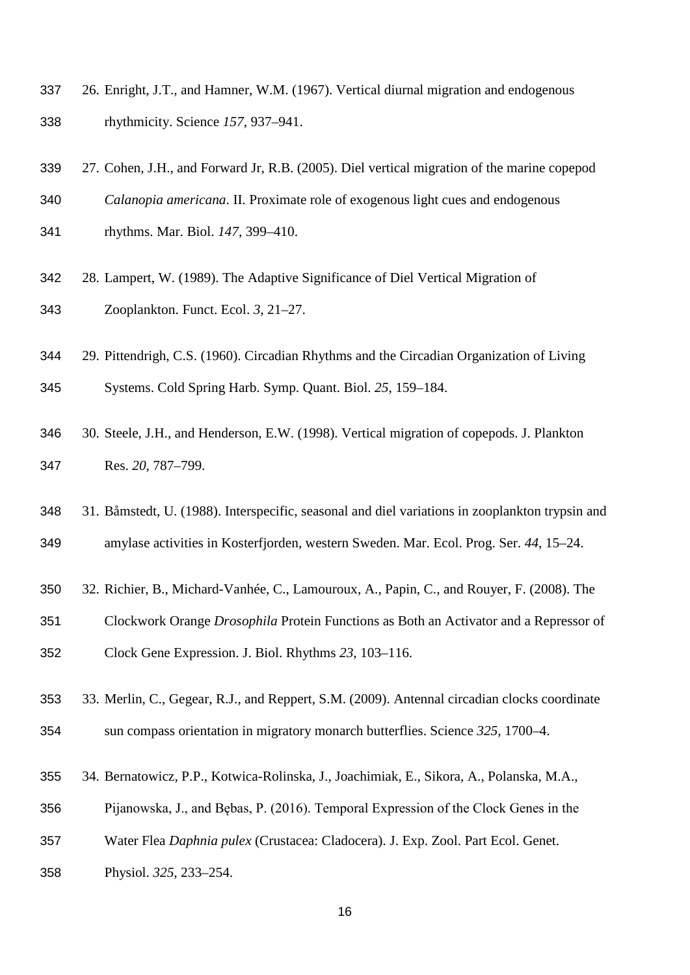- 26. Enright, J.T., and Hamner, W.M. (1967). Vertical diurnal migration and endogenous rhythmicity. Science *157*, 937–941.
- 27. Cohen, J.H., and Forward Jr, R.B. (2005). Diel vertical migration of the marine copepod

*Calanopia americana*. II. Proximate role of exogenous light cues and endogenous

rhythms. Mar. Biol. *147*, 399–410.

- 28. Lampert, W. (1989). The Adaptive Significance of Diel Vertical Migration of Zooplankton. Funct. Ecol. *3*, 21–27.
- 29. Pittendrigh, C.S. (1960). Circadian Rhythms and the Circadian Organization of Living

Systems. Cold Spring Harb. Symp. Quant. Biol. *25*, 159–184.

- 30. Steele, J.H., and Henderson, E.W. (1998). Vertical migration of copepods. J. Plankton Res. *20*, 787–799.
- 31. Båmstedt, U. (1988). Interspecific, seasonal and diel variations in zooplankton trypsin and amylase activities in Kosterfjorden, western Sweden. Mar. Ecol. Prog. Ser. *44*, 15–24.
- 32. Richier, B., Michard-Vanhée, C., Lamouroux, A., Papin, C., and Rouyer, F. (2008). The
- Clockwork Orange *Drosophila* Protein Functions as Both an Activator and a Repressor of Clock Gene Expression. J. Biol. Rhythms *23*, 103–116.
- 33. Merlin, C., Gegear, R.J., and Reppert, S.M. (2009). Antennal circadian clocks coordinate sun compass orientation in migratory monarch butterflies. Science *325*, 1700–4.
- 34. Bernatowicz, P.P., Kotwica-Rolinska, J., Joachimiak, E., Sikora, A., Polanska, M.A.,
- Pijanowska, J., and Bębas, P. (2016). Temporal Expression of the Clock Genes in the
- Water Flea *Daphnia pulex* (Crustacea: Cladocera). J. Exp. Zool. Part Ecol. Genet.
- Physiol. *325*, 233–254.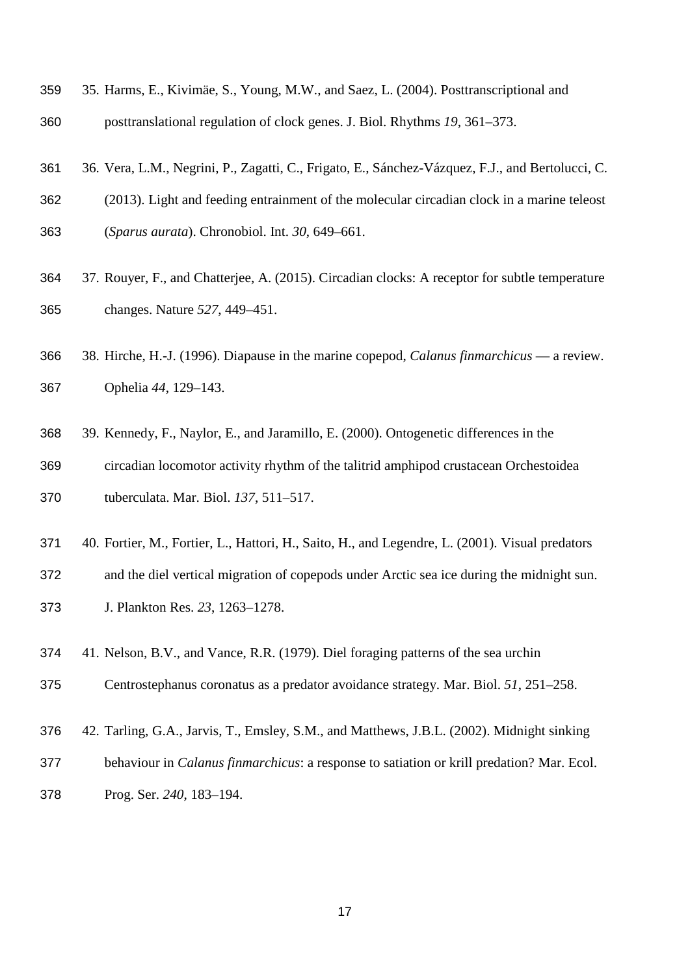- 35. Harms, E., Kivimäe, S., Young, M.W., and Saez, L. (2004). Posttranscriptional and posttranslational regulation of clock genes. J. Biol. Rhythms *19*, 361–373.
- 36. Vera, L.M., Negrini, P., Zagatti, C., Frigato, E., Sánchez-Vázquez, F.J., and Bertolucci, C.
- (2013). Light and feeding entrainment of the molecular circadian clock in a marine teleost (*Sparus aurata*). Chronobiol. Int. *30*, 649–661.
- 37. Rouyer, F., and Chatterjee, A. (2015). Circadian clocks: A receptor for subtle temperature changes. Nature *527*, 449–451.
- 38. Hirche, H.-J. (1996). Diapause in the marine copepod, *Calanus finmarchicus* a review. Ophelia *44*, 129–143.
- 39. Kennedy, F., Naylor, E., and Jaramillo, E. (2000). Ontogenetic differences in the circadian locomotor activity rhythm of the talitrid amphipod crustacean Orchestoidea tuberculata. Mar. Biol. *137*, 511–517.
- 40. Fortier, M., Fortier, L., Hattori, H., Saito, H., and Legendre, L. (2001). Visual predators
- and the diel vertical migration of copepods under Arctic sea ice during the midnight sun.
- J. Plankton Res. *23*, 1263–1278.
- 41. Nelson, B.V., and Vance, R.R. (1979). Diel foraging patterns of the sea urchin
- Centrostephanus coronatus as a predator avoidance strategy. Mar. Biol. *51*, 251–258.
- 42. Tarling, G.A., Jarvis, T., Emsley, S.M., and Matthews, J.B.L. (2002). Midnight sinking
- behaviour in *Calanus finmarchicus*: a response to satiation or krill predation? Mar. Ecol.
- Prog. Ser. *240*, 183–194.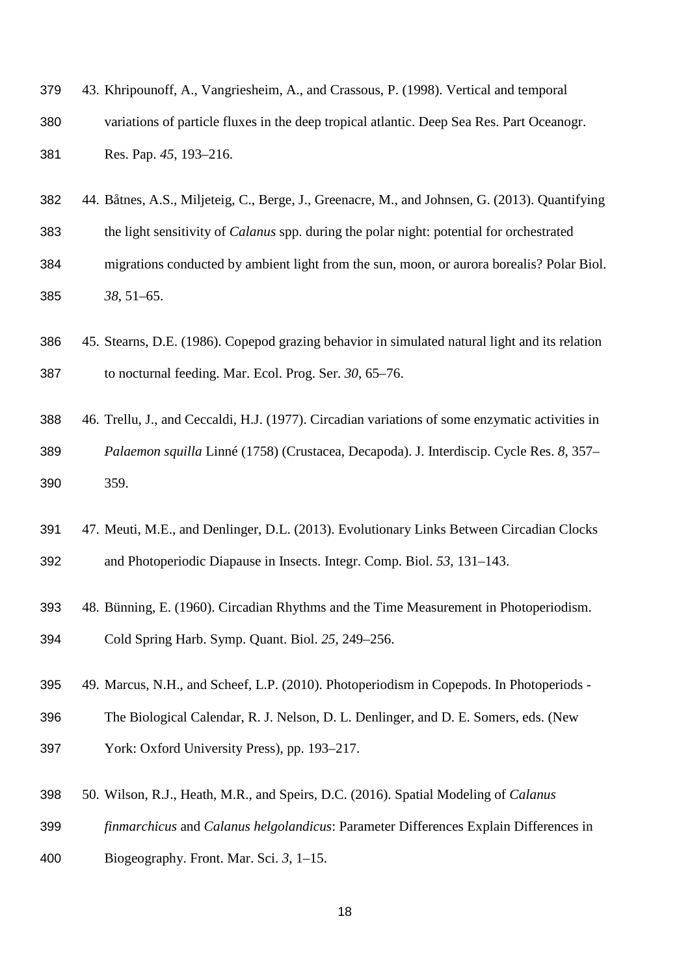| 379 | 43. Khripounoff, A., Vangriesheim, A., and Crassous, P. (1998). Vertical and temporal     |
|-----|-------------------------------------------------------------------------------------------|
| 380 | variations of particle fluxes in the deep tropical atlantic. Deep Sea Res. Part Oceanogr. |
| 381 | Res. Pap. 45, 193–216.                                                                    |

- 44. Båtnes, A.S., Miljeteig, C., Berge, J., Greenacre, M., and Johnsen, G. (2013). Quantifying the light sensitivity of *Calanus* spp. during the polar night: potential for orchestrated migrations conducted by ambient light from the sun, moon, or aurora borealis? Polar Biol. *38*, 51–65.
- 45. Stearns, D.E. (1986). Copepod grazing behavior in simulated natural light and its relation to nocturnal feeding. Mar. Ecol. Prog. Ser. *30*, 65–76.
- 46. Trellu, J., and Ceccaldi, H.J. (1977). Circadian variations of some enzymatic activities in *Palaemon squilla* Linné (1758) (Crustacea, Decapoda). J. Interdiscip. Cycle Res. *8*, 357– 359.
- 47. Meuti, M.E., and Denlinger, D.L. (2013). Evolutionary Links Between Circadian Clocks and Photoperiodic Diapause in Insects. Integr. Comp. Biol. *53*, 131–143.
- 48. Bünning, E. (1960). Circadian Rhythms and the Time Measurement in Photoperiodism. Cold Spring Harb. Symp. Quant. Biol. *25*, 249–256.
- 49. Marcus, N.H., and Scheef, L.P. (2010). Photoperiodism in Copepods. In Photoperiods -
- The Biological Calendar, R. J. Nelson, D. L. Denlinger, and D. E. Somers, eds. (New York: Oxford University Press), pp. 193–217.
- 50. Wilson, R.J., Heath, M.R., and Speirs, D.C. (2016). Spatial Modeling of *Calanus*
- *finmarchicus* and *Calanus helgolandicus*: Parameter Differences Explain Differences in
- Biogeography. Front. Mar. Sci. *3*, 1–15.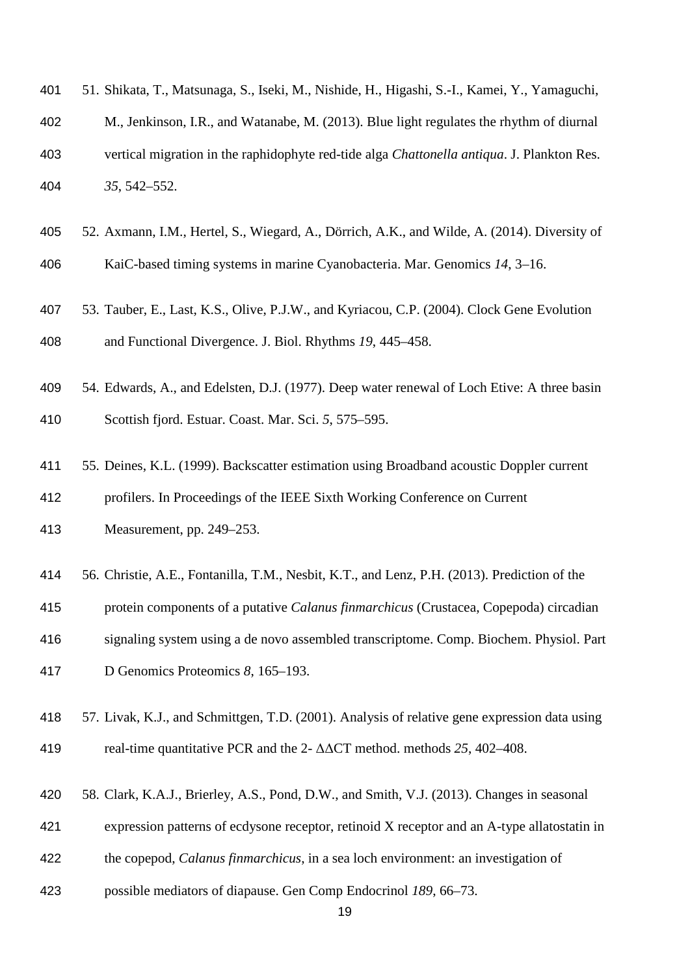| 401 | 51. Shikata, T., Matsunaga, S., Iseki, M., Nishide, H., Higashi, S.-I., Kamei, Y., Yamaguchi,      |
|-----|----------------------------------------------------------------------------------------------------|
| 402 | M., Jenkinson, I.R., and Watanabe, M. (2013). Blue light regulates the rhythm of diurnal           |
| 403 | vertical migration in the raphidophyte red-tide alga <i>Chattonella antiqua</i> . J. Plankton Res. |
| 404 | $35,542 - 552.$                                                                                    |

- 52. Axmann, I.M., Hertel, S., Wiegard, A., Dörrich, A.K., and Wilde, A. (2014). Diversity of KaiC-based timing systems in marine Cyanobacteria. Mar. Genomics *14*, 3–16.
- 53. Tauber, E., Last, K.S., Olive, P.J.W., and Kyriacou, C.P. (2004). Clock Gene Evolution and Functional Divergence. J. Biol. Rhythms *19*, 445–458.
- 54. Edwards, A., and Edelsten, D.J. (1977). Deep water renewal of Loch Etive: A three basin Scottish fjord. Estuar. Coast. Mar. Sci. *5*, 575–595.
- 55. Deines, K.L. (1999). Backscatter estimation using Broadband acoustic Doppler current profilers. In Proceedings of the IEEE Sixth Working Conference on Current
- Measurement, pp. 249–253.
- 56. Christie, A.E., Fontanilla, T.M., Nesbit, K.T., and Lenz, P.H. (2013). Prediction of the
- protein components of a putative *Calanus finmarchicus* (Crustacea, Copepoda) circadian
- signaling system using a de novo assembled transcriptome. Comp. Biochem. Physiol. Part
- D Genomics Proteomics *8*, 165–193.
- 57. Livak, K.J., and Schmittgen, T.D. (2001). Analysis of relative gene expression data using
- real-time quantitative PCR and the 2- ΔΔCT method. methods *25*, 402–408.
- 58. Clark, K.A.J., Brierley, A.S., Pond, D.W., and Smith, V.J. (2013). Changes in seasonal
- expression patterns of ecdysone receptor, retinoid X receptor and an A-type allatostatin in
- the copepod, *Calanus finmarchicus*, in a sea loch environment: an investigation of
- possible mediators of diapause. Gen Comp Endocrinol *189*, 66–73.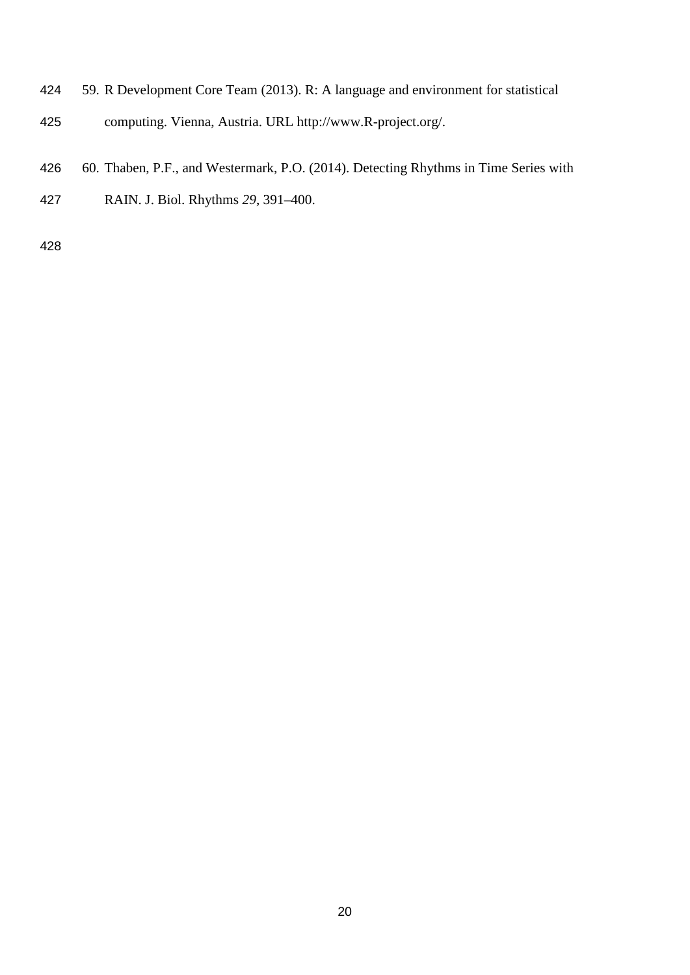- 59. R Development Core Team (2013). R: A language and environment for statistical computing. Vienna, Austria. URL http://www.R-project.org/.
- 60. Thaben, P.F., and Westermark, P.O. (2014). Detecting Rhythms in Time Series with
- RAIN. J. Biol. Rhythms *29*, 391–400.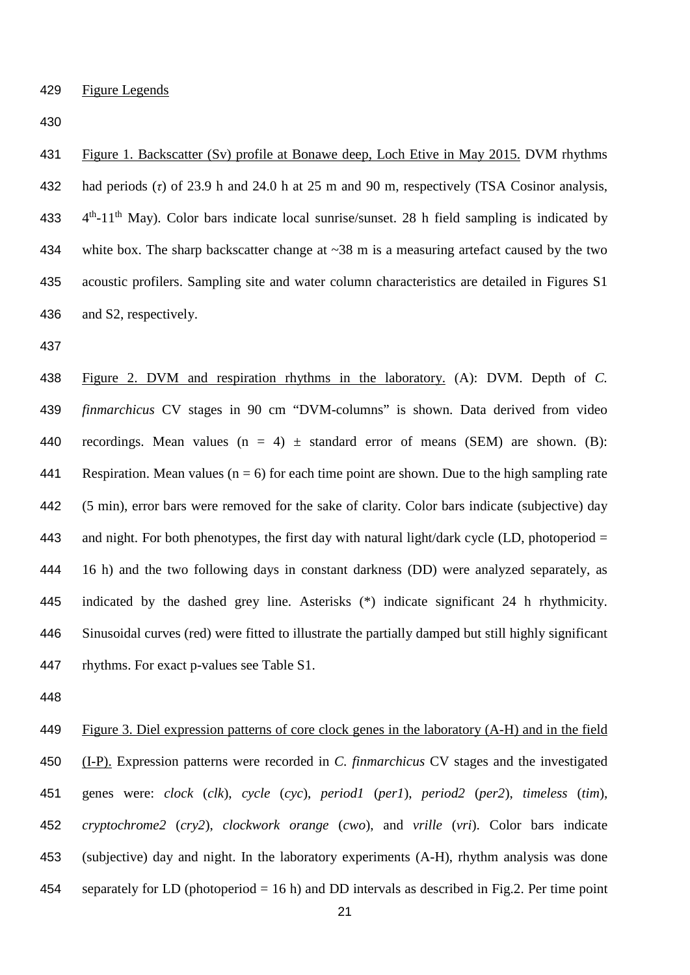Figure 1. Backscatter (Sv) profile at Bonawe deep, Loch Etive in May 2015. DVM rhythms had periods (*τ*) of 23.9 h and 24.0 h at 25 m and 90 m, respectively (TSA Cosinor analysis, 433  $4<sup>th</sup>-11<sup>th</sup>$  May). Color bars indicate local sunrise/sunset. 28 h field sampling is indicated by 434 white box. The sharp backscatter change at  $\sim$ 38 m is a measuring artefact caused by the two acoustic profilers. Sampling site and water column characteristics are detailed in Figures S1 and S2, respectively.

 Figure 2. DVM and respiration rhythms in the laboratory. (A): DVM. Depth of *C. finmarchicus* CV stages in 90 cm "DVM-columns" is shown. Data derived from video 440 recordings. Mean values  $(n = 4) \pm$  standard error of means (SEM) are shown. (B): 441 Respiration. Mean values ( $n = 6$ ) for each time point are shown. Due to the high sampling rate (5 min), error bars were removed for the sake of clarity. Color bars indicate (subjective) day 443 and night. For both phenotypes, the first day with natural light/dark cycle (LD, photoperiod = 16 h) and the two following days in constant darkness (DD) were analyzed separately, as indicated by the dashed grey line. Asterisks (\*) indicate significant 24 h rhythmicity. Sinusoidal curves (red) were fitted to illustrate the partially damped but still highly significant rhythms. For exact p-values see Table S1.

 Figure 3. Diel expression patterns of core clock genes in the laboratory (A-H) and in the field (I-P). Expression patterns were recorded in *C. finmarchicus* CV stages and the investigated genes were: *clock* (*clk*), *cycle* (*cyc*), *period1* (*per1*), *period2* (*per2*), *timeless* (*tim*), *cryptochrome2* (*cry2*), *clockwork orange* (*cwo*), and *vrille* (*vri*). Color bars indicate (subjective) day and night. In the laboratory experiments (A-H), rhythm analysis was done separately for LD (photoperiod = 16 h) and DD intervals as described in Fig.2. Per time point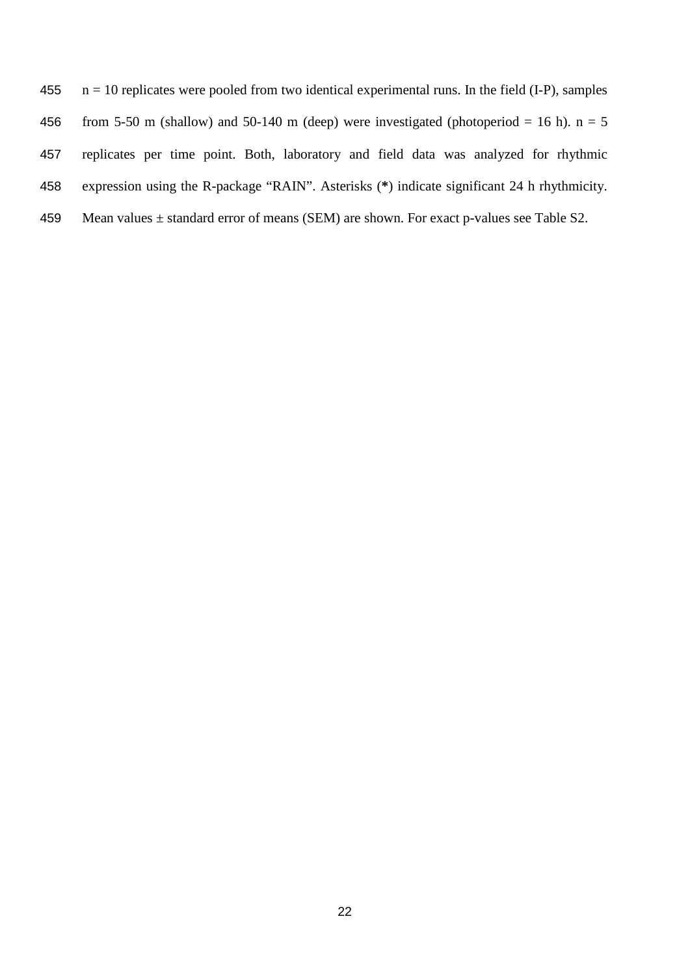455  $n = 10$  replicates were pooled from two identical experimental runs. In the field (I-P), samples 456 from 5-50 m (shallow) and 50-140 m (deep) were investigated (photoperiod = 16 h).  $n = 5$ 457 replicates per time point. Both, laboratory and field data was analyzed for rhythmic 458 expression using the R-package "RAIN". Asterisks (**\***) indicate significant 24 h rhythmicity. 459 Mean values  $\pm$  standard error of means (SEM) are shown. For exact p-values see Table S2.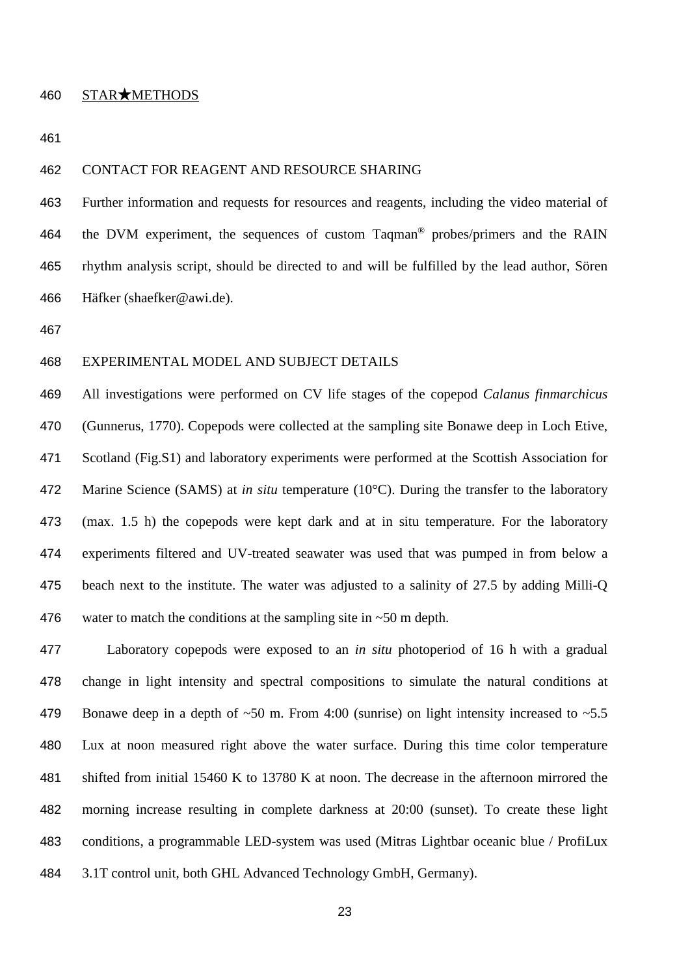### STAR★METHODS

#### CONTACT FOR REAGENT AND RESOURCE SHARING

 Further information and requests for resources and reagents, including the video material of 464 the DVM experiment, the sequences of custom Taqman<sup>®</sup> probes/primers and the RAIN rhythm analysis script, should be directed to and will be fulfilled by the lead author, Sören Häfker (shaefker@awi.de).

# EXPERIMENTAL MODEL AND SUBJECT DETAILS

 All investigations were performed on CV life stages of the copepod *Calanus finmarchicus* (Gunnerus, 1770). Copepods were collected at the sampling site Bonawe deep in Loch Etive, Scotland (Fig.S1) and laboratory experiments were performed at the Scottish Association for Marine Science (SAMS) at *in situ* temperature (10°C). During the transfer to the laboratory (max. 1.5 h) the copepods were kept dark and at in situ temperature. For the laboratory experiments filtered and UV-treated seawater was used that was pumped in from below a beach next to the institute. The water was adjusted to a salinity of 27.5 by adding Milli-Q 476 water to match the conditions at the sampling site in  $\sim$  50 m depth.

 Laboratory copepods were exposed to an *in situ* photoperiod of 16 h with a gradual change in light intensity and spectral compositions to simulate the natural conditions at 479 Bonawe deep in a depth of  $\sim 50$  m. From 4:00 (sunrise) on light intensity increased to  $\sim 5.5$  Lux at noon measured right above the water surface. During this time color temperature shifted from initial 15460 K to 13780 K at noon. The decrease in the afternoon mirrored the morning increase resulting in complete darkness at 20:00 (sunset). To create these light conditions, a programmable LED-system was used (Mitras Lightbar oceanic blue / ProfiLux 3.1T control unit, both GHL Advanced Technology GmbH, Germany).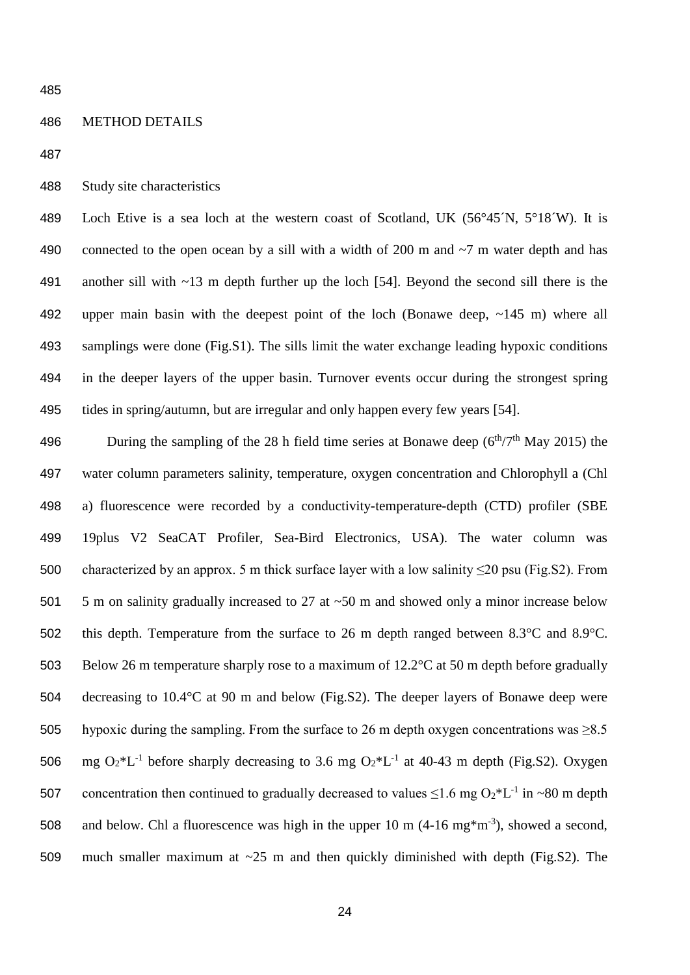#### METHOD DETAILS



489 Loch Etive is a sea loch at the western coast of Scotland, UK (56°45<sup> $\gamma$ </sup>N, 5°18<sup> $\gamma$ </sup>W). It is 490 connected to the open ocean by a sill with a width of 200 m and  $\sim$ 7 m water depth and has another sill with ~13 m depth further up the loch [54]. Beyond the second sill there is the upper main basin with the deepest point of the loch (Bonawe deep, ~145 m) where all samplings were done (Fig.S1). The sills limit the water exchange leading hypoxic conditions in the deeper layers of the upper basin. Turnover events occur during the strongest spring tides in spring/autumn, but are irregular and only happen every few years [54].

496 During the sampling of the 28 h field time series at Bonawe deep ( $6<sup>th</sup>/7<sup>th</sup>$  May 2015) the water column parameters salinity, temperature, oxygen concentration and Chlorophyll a (Chl a) fluorescence were recorded by a conductivity-temperature-depth (CTD) profiler (SBE 19plus V2 SeaCAT Profiler, Sea-Bird Electronics, USA). The water column was 500 characterized by an approx. 5 m thick surface layer with a low salinity  $\leq$ 20 psu (Fig.S2). From 501 5 m on salinity gradually increased to 27 at ~50 m and showed only a minor increase below this depth. Temperature from the surface to 26 m depth ranged between 8.3°C and 8.9°C. 503 Below 26 m temperature sharply rose to a maximum of 12.2°C at 50 m depth before gradually decreasing to 10.4°C at 90 m and below (Fig.S2). The deeper layers of Bonawe deep were 505 hypoxic during the sampling. From the surface to 26 m depth oxygen concentrations was  $\geq 8.5$ 506 mg  $O_2*L^{-1}$  before sharply decreasing to 3.6 mg  $O_2*L^{-1}$  at 40-43 m depth (Fig.S2). Oxygen 507 concentration then continued to gradually decreased to values  $\leq 1.6$  mg O<sub>2</sub>\*L<sup>-1</sup> in ~80 m depth 508 and below. Chl a fluorescence was high in the upper 10 m  $(4{\text -}16 \text{ mg}^* \text{m}^{-3})$ , showed a second, much smaller maximum at ~25 m and then quickly diminished with depth (Fig.S2). The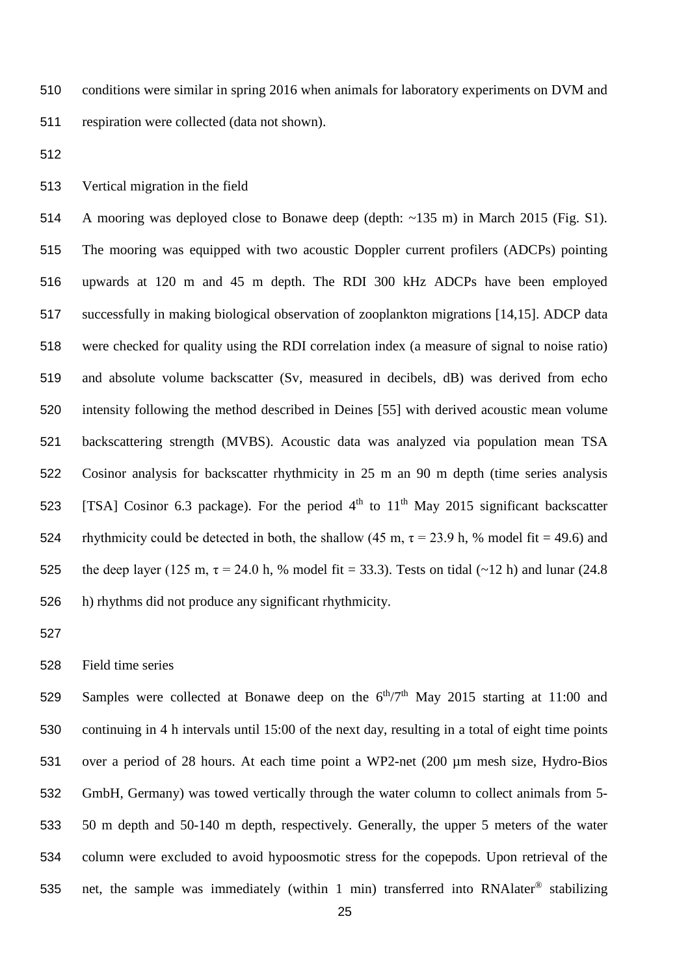conditions were similar in spring 2016 when animals for laboratory experiments on DVM and respiration were collected (data not shown).

Vertical migration in the field

 A mooring was deployed close to Bonawe deep (depth: ~135 m) in March 2015 (Fig. S1). The mooring was equipped with two acoustic Doppler current profilers (ADCPs) pointing upwards at 120 m and 45 m depth. The RDI 300 kHz ADCPs have been employed successfully in making biological observation of zooplankton migrations [14,15]. ADCP data were checked for quality using the RDI correlation index (a measure of signal to noise ratio) and absolute volume backscatter (Sv, measured in decibels, dB) was derived from echo intensity following the method described in Deines [55] with derived acoustic mean volume backscattering strength (MVBS). Acoustic data was analyzed via population mean TSA Cosinor analysis for backscatter rhythmicity in 25 m an 90 m depth (time series analysis 523 [TSA] Cosinor 6.3 package). For the period  $4<sup>th</sup>$  to  $11<sup>th</sup>$  May 2015 significant backscatter 524 rhythmicity could be detected in both, the shallow (45 m,  $\tau$  = 23.9 h, % model fit = 49.6) and 525 the deep layer (125 m,  $\tau = 24.0$  h, % model fit = 33.3). Tests on tidal (~12 h) and lunar (24.8 h) rhythms did not produce any significant rhythmicity.

Field time series

529 Samples were collected at Bonawe deep on the  $6<sup>th</sup>/7<sup>th</sup>$  May 2015 starting at 11:00 and continuing in 4 h intervals until 15:00 of the next day, resulting in a total of eight time points over a period of 28 hours. At each time point a WP2-net (200 µm mesh size, Hydro-Bios GmbH, Germany) was towed vertically through the water column to collect animals from 5- 50 m depth and 50-140 m depth, respectively. Generally, the upper 5 meters of the water column were excluded to avoid hypoosmotic stress for the copepods. Upon retrieval of the 535 net, the sample was immediately (within 1 min) transferred into RNA later<sup>®</sup> stabilizing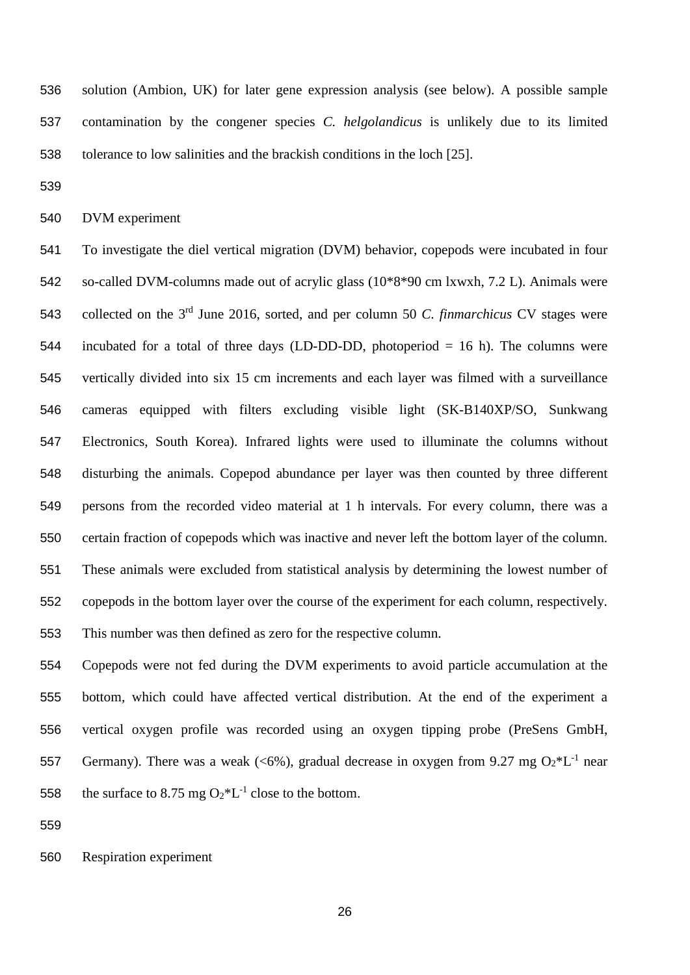solution (Ambion, UK) for later gene expression analysis (see below). A possible sample contamination by the congener species *C. helgolandicus* is unlikely due to its limited tolerance to low salinities and the brackish conditions in the loch [25].

DVM experiment

 To investigate the diel vertical migration (DVM) behavior, copepods were incubated in four so-called DVM-columns made out of acrylic glass (10\*8\*90 cm lxwxh, 7.2 L). Animals were 543 collected on the 3<sup>rd</sup> June 2016, sorted, and per column 50 *C. finmarchicus* CV stages were incubated for a total of three days (LD-DD-DD, photoperiod = 16 h). The columns were vertically divided into six 15 cm increments and each layer was filmed with a surveillance cameras equipped with filters excluding visible light (SK-B140XP/SO, Sunkwang Electronics, South Korea). Infrared lights were used to illuminate the columns without disturbing the animals. Copepod abundance per layer was then counted by three different persons from the recorded video material at 1 h intervals. For every column, there was a certain fraction of copepods which was inactive and never left the bottom layer of the column. These animals were excluded from statistical analysis by determining the lowest number of copepods in the bottom layer over the course of the experiment for each column, respectively. This number was then defined as zero for the respective column.

 Copepods were not fed during the DVM experiments to avoid particle accumulation at the bottom, which could have affected vertical distribution. At the end of the experiment a vertical oxygen profile was recorded using an oxygen tipping probe (PreSens GmbH, 557 Germany). There was a weak (<6%), gradual decrease in oxygen from 9.27 mg  $O_2*L^{-1}$  near 558 the surface to 8.75 mg  $O_2*L^{-1}$  close to the bottom.

Respiration experiment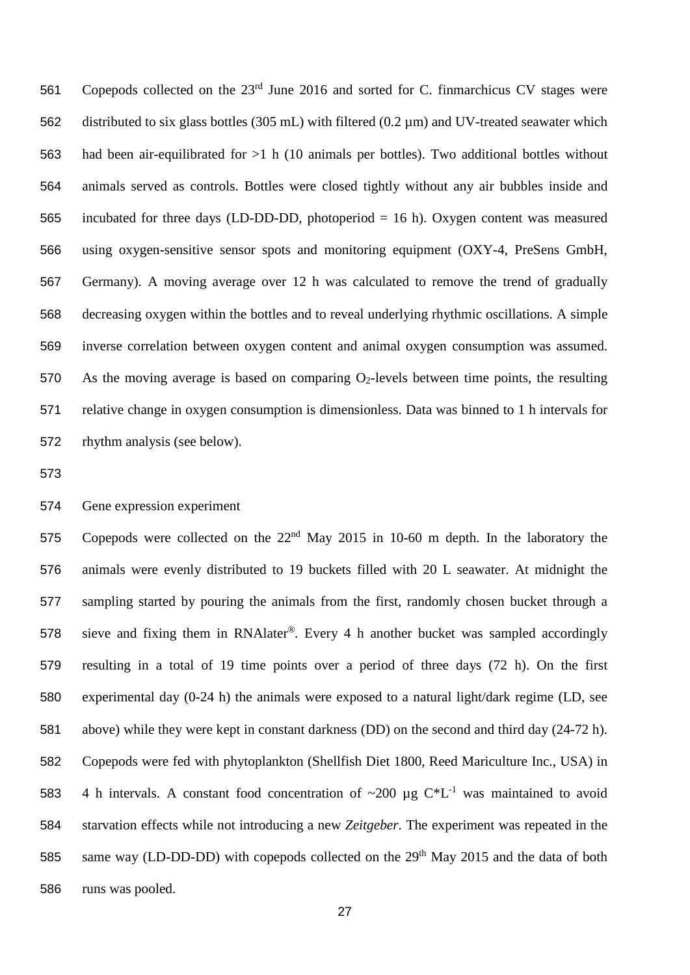561 Copepods collected on the  $23<sup>rd</sup>$  June 2016 and sorted for C. finmarchicus CV stages were distributed to six glass bottles (305 mL) with filtered (0.2 µm) and UV-treated seawater which had been air-equilibrated for >1 h (10 animals per bottles). Two additional bottles without animals served as controls. Bottles were closed tightly without any air bubbles inside and incubated for three days (LD-DD-DD, photoperiod = 16 h). Oxygen content was measured using oxygen-sensitive sensor spots and monitoring equipment (OXY-4, PreSens GmbH, Germany). A moving average over 12 h was calculated to remove the trend of gradually decreasing oxygen within the bottles and to reveal underlying rhythmic oscillations. A simple inverse correlation between oxygen content and animal oxygen consumption was assumed. 570 As the moving average is based on comparing  $O_2$ -levels between time points, the resulting relative change in oxygen consumption is dimensionless. Data was binned to 1 h intervals for rhythm analysis (see below).

## Gene expression experiment

575 Copepods were collected on the  $22<sup>nd</sup>$  May 2015 in 10-60 m depth. In the laboratory the animals were evenly distributed to 19 buckets filled with 20 L seawater. At midnight the sampling started by pouring the animals from the first, randomly chosen bucket through a 578 sieve and fixing them in RNAlater<sup>®</sup>. Every 4 h another bucket was sampled accordingly resulting in a total of 19 time points over a period of three days (72 h). On the first experimental day (0-24 h) the animals were exposed to a natural light/dark regime (LD, see above) while they were kept in constant darkness (DD) on the second and third day (24-72 h). Copepods were fed with phytoplankton (Shellfish Diet 1800, Reed Mariculture Inc., USA) in 583 4 h intervals. A constant food concentration of  $\sim 200 \text{ µg C*L}^{-1}$  was maintained to avoid starvation effects while not introducing a new *Zeitgeber*. The experiment was repeated in the 585 same way (LD-DD-DD) with copepods collected on the  $29<sup>th</sup>$  May 2015 and the data of both runs was pooled.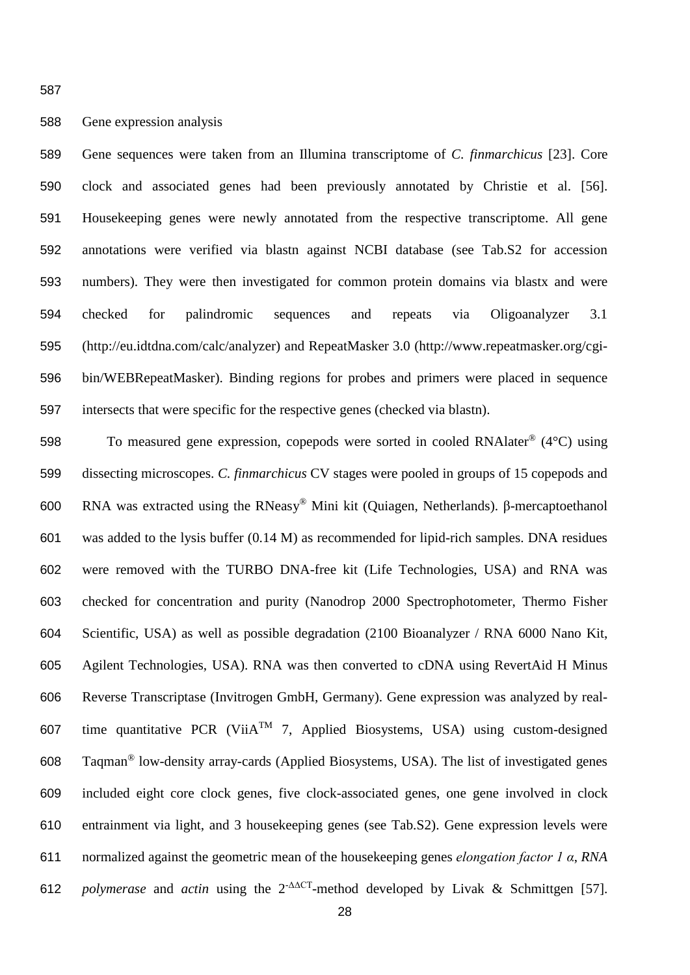# Gene expression analysis

 Gene sequences were taken from an Illumina transcriptome of *C. finmarchicus* [23]. Core clock and associated genes had been previously annotated by Christie et al. [56]. Housekeeping genes were newly annotated from the respective transcriptome. All gene annotations were verified via blastn against NCBI database (see Tab.S2 for accession numbers). They were then investigated for common protein domains via blastx and were checked for palindromic sequences and repeats via Oligoanalyzer 3.1 (http://eu.idtdna.com/calc/analyzer) and RepeatMasker 3.0 (http://www.repeatmasker.org/cgi- bin/WEBRepeatMasker). Binding regions for probes and primers were placed in sequence intersects that were specific for the respective genes (checked via blastn).

598 To measured gene expression, copepods were sorted in cooled RNA later<sup>®</sup>  $(4^{\circ}C)$  using dissecting microscopes. *C. finmarchicus* CV stages were pooled in groups of 15 copepods and 600 RNA was extracted using the RNeasy<sup>®</sup> Mini kit (Quiagen, Netherlands). β-mercaptoethanol was added to the lysis buffer (0.14 M) as recommended for lipid-rich samples. DNA residues were removed with the TURBO DNA-free kit (Life Technologies, USA) and RNA was checked for concentration and purity (Nanodrop 2000 Spectrophotometer, Thermo Fisher Scientific, USA) as well as possible degradation (2100 Bioanalyzer / RNA 6000 Nano Kit, Agilent Technologies, USA). RNA was then converted to cDNA using RevertAid H Minus Reverse Transcriptase (Invitrogen GmbH, Germany). Gene expression was analyzed by real-607 time quantitative PCR (ViiA<sup>TM</sup> 7, Applied Biosystems, USA) using custom-designed 608 Taqman<sup>®</sup> low-density array-cards (Applied Biosystems, USA). The list of investigated genes included eight core clock genes, five clock-associated genes, one gene involved in clock entrainment via light, and 3 housekeeping genes (see Tab.S2). Gene expression levels were normalized against the geometric mean of the housekeeping genes *elongation factor 1 α*, *RNA polymerase* and *actin* using the  $2^{-\Delta\Delta CT}$ -method developed by Livak & Schmittgen [57].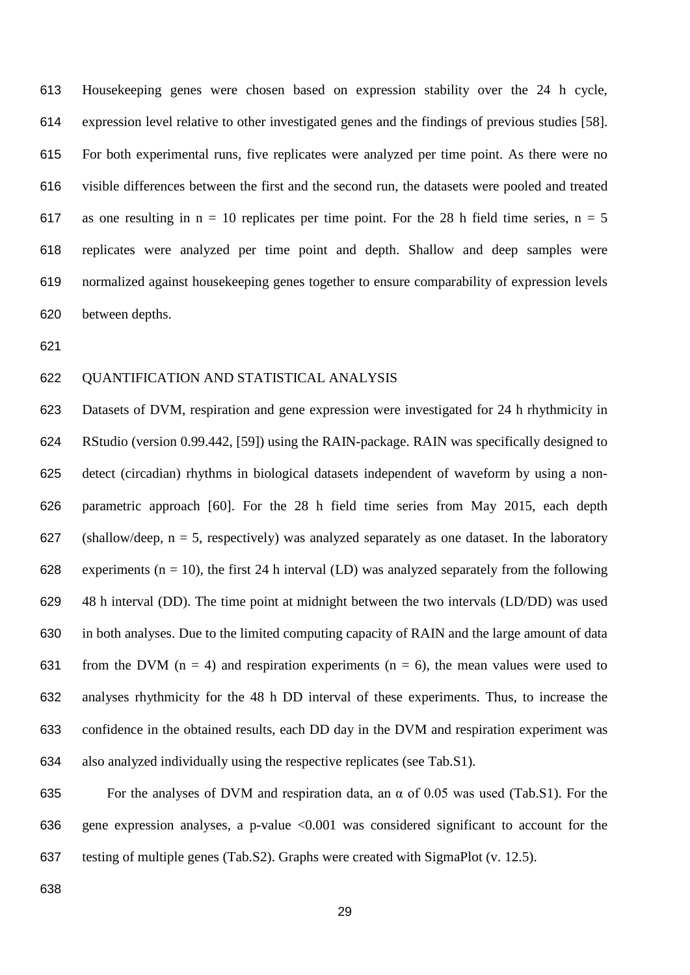Housekeeping genes were chosen based on expression stability over the 24 h cycle, expression level relative to other investigated genes and the findings of previous studies [58]. For both experimental runs, five replicates were analyzed per time point. As there were no visible differences between the first and the second run, the datasets were pooled and treated 617 as one resulting in  $n = 10$  replicates per time point. For the 28 h field time series,  $n = 5$  replicates were analyzed per time point and depth. Shallow and deep samples were normalized against housekeeping genes together to ensure comparability of expression levels between depths.

# QUANTIFICATION AND STATISTICAL ANALYSIS

 Datasets of DVM, respiration and gene expression were investigated for 24 h rhythmicity in RStudio (version 0.99.442, [59]) using the RAIN-package. RAIN was specifically designed to detect (circadian) rhythms in biological datasets independent of waveform by using a non- parametric approach [60]. For the 28 h field time series from May 2015, each depth 627 (shallow/deep,  $n = 5$ , respectively) was analyzed separately as one dataset. In the laboratory 628 experiments ( $n = 10$ ), the first 24 h interval (LD) was analyzed separately from the following 48 h interval (DD). The time point at midnight between the two intervals (LD/DD) was used in both analyses. Due to the limited computing capacity of RAIN and the large amount of data 631 from the DVM ( $n = 4$ ) and respiration experiments ( $n = 6$ ), the mean values were used to analyses rhythmicity for the 48 h DD interval of these experiments. Thus, to increase the confidence in the obtained results, each DD day in the DVM and respiration experiment was also analyzed individually using the respective replicates (see Tab.S1).

 For the analyses of DVM and respiration data, an α of 0.05 was used (Tab.S1). For the gene expression analyses, a p-value <0.001 was considered significant to account for the testing of multiple genes (Tab.S2). Graphs were created with SigmaPlot (v. 12.5).